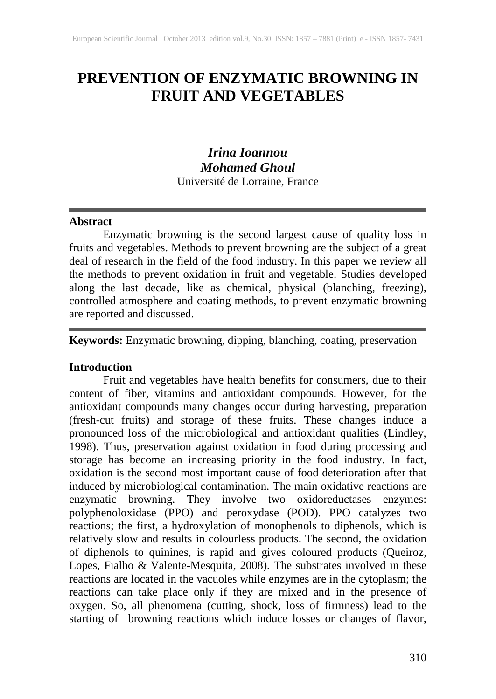# **PREVENTION OF ENZYMATIC BROWNING IN FRUIT AND VEGETABLES**

# *Irina Ioannou Mohamed Ghoul* Université de Lorraine, France

#### **Abstract**

Enzymatic browning is the second largest cause of quality loss in fruits and vegetables. Methods to prevent browning are the subject of a great deal of research in the field of the food industry. In this paper we review all the methods to prevent oxidation in fruit and vegetable. Studies developed along the last decade, like as chemical, physical (blanching, freezing), controlled atmosphere and coating methods, to prevent enzymatic browning are reported and discussed.

**Keywords:** Enzymatic browning, dipping, blanching, coating, preservation

#### **Introduction**

Fruit and vegetables have health benefits for consumers, due to their content of fiber, vitamins and antioxidant compounds. However, for the antioxidant compounds many changes occur during harvesting, preparation (fresh-cut fruits) and storage of these fruits. These changes induce a pronounced loss of the microbiological and antioxidant qualities (Lindley, 1998). Thus, preservation against oxidation in food during processing and storage has become an increasing priority in the food industry. In fact, oxidation is the second most important cause of food deterioration after that induced by microbiological contamination. The main oxidative reactions are enzymatic browning. They involve two oxidoreductases enzymes: polyphenoloxidase (PPO) and peroxydase (POD). PPO catalyzes two reactions; the first, a hydroxylation of monophenols to diphenols, which is relatively slow and results in colourless products. The second, the oxidation of diphenols to quinines, is rapid and gives coloured products (Queiroz, Lopes, Fialho & Valente-Mesquita, 2008). The substrates involved in these reactions are located in the vacuoles while enzymes are in the cytoplasm; the reactions can take place only if they are mixed and in the presence of oxygen. So, all phenomena (cutting, shock, loss of firmness) lead to the starting of browning reactions which induce losses or changes of flavor,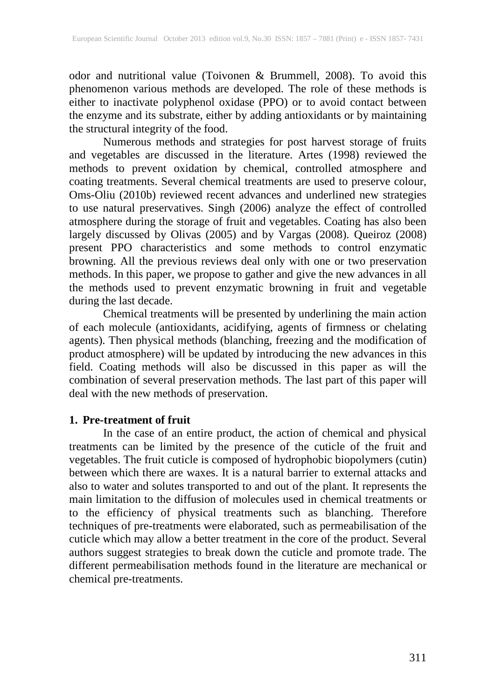odor and nutritional value (Toivonen & Brummell, 2008). To avoid this phenomenon various methods are developed. The role of these methods is either to inactivate polyphenol oxidase (PPO) or to avoid contact between the enzyme and its substrate, either by adding antioxidants or by maintaining the structural integrity of the food.

Numerous methods and strategies for post harvest storage of fruits and vegetables are discussed in the literature. Artes (1998) reviewed the methods to prevent oxidation by chemical, controlled atmosphere and coating treatments. Several chemical treatments are used to preserve colour, Oms-Oliu (2010b) reviewed recent advances and underlined new strategies to use natural preservatives. Singh (2006) analyze the effect of controlled atmosphere during the storage of fruit and vegetables. Coating has also been largely discussed by Olivas (2005) and by Vargas (2008). Queiroz (2008) present PPO characteristics and some methods to control enzymatic browning. All the previous reviews deal only with one or two preservation methods. In this paper, we propose to gather and give the new advances in all the methods used to prevent enzymatic browning in fruit and vegetable during the last decade.

Chemical treatments will be presented by underlining the main action of each molecule (antioxidants, acidifying, agents of firmness or chelating agents). Then physical methods (blanching, freezing and the modification of product atmosphere) will be updated by introducing the new advances in this field. Coating methods will also be discussed in this paper as will the combination of several preservation methods. The last part of this paper will deal with the new methods of preservation.

#### **1. Pre-treatment of fruit**

In the case of an entire product, the action of chemical and physical treatments can be limited by the presence of the cuticle of the fruit and vegetables. The fruit cuticle is composed of hydrophobic biopolymers (cutin) between which there are waxes. It is a natural barrier to external attacks and also to water and solutes transported to and out of the plant. It represents the main limitation to the diffusion of molecules used in chemical treatments or to the efficiency of physical treatments such as blanching. Therefore techniques of pre-treatments were elaborated, such as permeabilisation of the cuticle which may allow a better treatment in the core of the product. Several authors suggest strategies to break down the cuticle and promote trade. The different permeabilisation methods found in the literature are mechanical or chemical pre-treatments.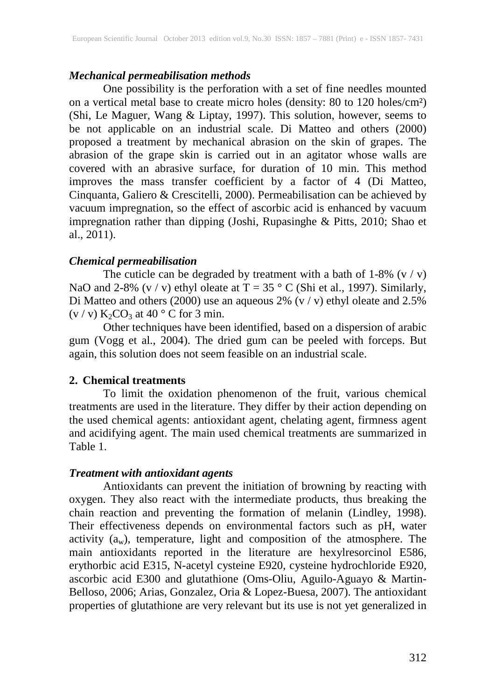#### *Mechanical permeabilisation methods*

One possibility is the perforation with a set of fine needles mounted on a vertical metal base to create micro holes (density: 80 to 120 holes/cm²) (Shi, Le Maguer, Wang & Liptay, 1997). This solution, however, seems to be not applicable on an industrial scale. Di Matteo and others (2000) proposed a treatment by mechanical abrasion on the skin of grapes. The abrasion of the grape skin is carried out in an agitator whose walls are covered with an abrasive surface, for duration of 10 min. This method improves the mass transfer coefficient by a factor of 4 (Di Matteo, Cinquanta, Galiero & Crescitelli, 2000). Permeabilisation can be achieved by vacuum impregnation, so the effect of ascorbic acid is enhanced by vacuum impregnation rather than dipping (Joshi, Rupasinghe & Pitts, 2010; Shao et al., 2011).

#### *Chemical permeabilisation*

The cuticle can be degraded by treatment with a bath of  $1-8\%$  (v / v) NaO and 2-8% (v / v) ethyl oleate at  $T = 35$  ° C (Shi et al., 1997). Similarly, Di Matteo and others (2000) use an aqueous 2%  $(v / v)$  ethyl oleate and 2.5%  $(v / v)$  K<sub>2</sub>CO<sub>3</sub> at 40 ° C for 3 min.

Other techniques have been identified, based on a dispersion of arabic gum (Vogg et al., 2004). The dried gum can be peeled with forceps. But again, this solution does not seem feasible on an industrial scale.

#### **2. Chemical treatments**

To limit the oxidation phenomenon of the fruit, various chemical treatments are used in the literature. They differ by their action depending on the used chemical agents: antioxidant agent, chelating agent, firmness agent and acidifying agent. The main used chemical treatments are summarized in Table 1.

#### *Treatment with antioxidant agents*

Antioxidants can prevent the initiation of browning by reacting with oxygen. They also react with the intermediate products, thus breaking the chain reaction and preventing the formation of melanin (Lindley, 1998). Their effectiveness depends on environmental factors such as pH, water activity  $(a_w)$ , temperature, light and composition of the atmosphere. The main antioxidants reported in the literature are hexylresorcinol E586, erythorbic acid E315, N-acetyl cysteine E920, cysteine hydrochloride E920, ascorbic acid E300 and glutathione (Oms-Oliu, Aguilo-Aguayo & Martin-Belloso, 2006; Arias, Gonzalez, Oria & Lopez-Buesa, 2007). The antioxidant properties of glutathione are very relevant but its use is not yet generalized in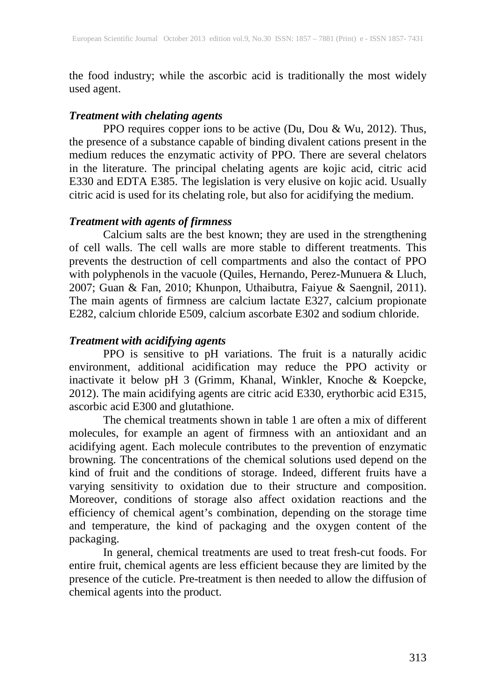the food industry; while the ascorbic acid is traditionally the most widely used agent.

## *Treatment with chelating agents*

PPO requires copper ions to be active (Du, Dou & Wu, 2012). Thus, the presence of a substance capable of binding divalent cations present in the medium reduces the enzymatic activity of PPO. There are several chelators in the literature. The principal chelating agents are kojic acid, citric acid E330 and EDTA E385. The legislation is very elusive on kojic acid. Usually citric acid is used for its chelating role, but also for acidifying the medium.

## *Treatment with agents of firmness*

Calcium salts are the best known; they are used in the strengthening of cell walls. The cell walls are more stable to different treatments. This prevents the destruction of cell compartments and also the contact of PPO with polyphenols in the vacuole (Quiles, Hernando, Perez-Munuera & Lluch, 2007; Guan & Fan, 2010; Khunpon, Uthaibutra, Faiyue & Saengnil, 2011). The main agents of firmness are calcium lactate E327, calcium propionate E282, calcium chloride E509, calcium ascorbate E302 and sodium chloride.

## *Treatment with acidifying agents*

PPO is sensitive to pH variations. The fruit is a naturally acidic environment, additional acidification may reduce the PPO activity or inactivate it below pH 3 (Grimm, Khanal, Winkler, Knoche & Koepcke, 2012). The main acidifying agents are citric acid E330, erythorbic acid E315, ascorbic acid E300 and glutathione.

The chemical treatments shown in table 1 are often a mix of different molecules, for example an agent of firmness with an antioxidant and an acidifying agent. Each molecule contributes to the prevention of enzymatic browning. The concentrations of the chemical solutions used depend on the kind of fruit and the conditions of storage. Indeed, different fruits have a varying sensitivity to oxidation due to their structure and composition. Moreover, conditions of storage also affect oxidation reactions and the efficiency of chemical agent's combination, depending on the storage time and temperature, the kind of packaging and the oxygen content of the packaging.

In general, chemical treatments are used to treat fresh-cut foods. For entire fruit, chemical agents are less efficient because they are limited by the presence of the cuticle. Pre-treatment is then needed to allow the diffusion of chemical agents into the product.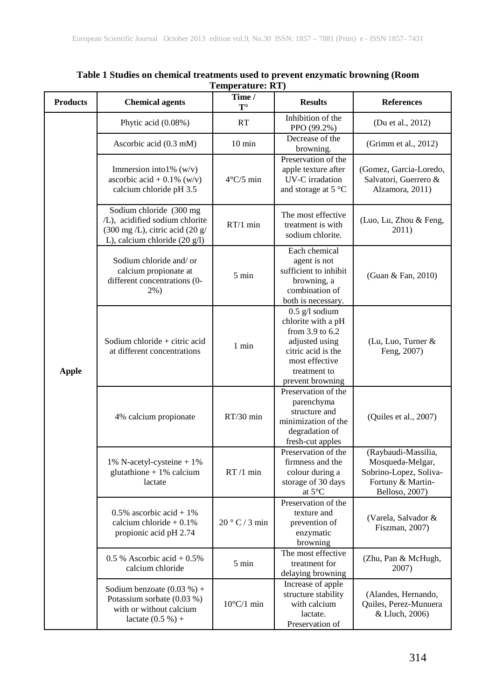| <b>Products</b> | <b>Chemical agents</b>                                                                                                                              | Time /<br>$T^{\circ}$ | <b>Results</b>                                                                                                                                          | <b>References</b>                                                                                        |
|-----------------|-----------------------------------------------------------------------------------------------------------------------------------------------------|-----------------------|---------------------------------------------------------------------------------------------------------------------------------------------------------|----------------------------------------------------------------------------------------------------------|
|                 | Phytic acid (0.08%)                                                                                                                                 | RT                    | Inhibition of the<br>PPO (99.2%)                                                                                                                        | (Du et al., 2012)                                                                                        |
|                 | Ascorbic acid (0.3 mM)                                                                                                                              | $10 \text{ min}$      | Decrease of the<br>browning.                                                                                                                            | (Grimm et al., 2012)                                                                                     |
|                 | Immersion into $1\%$ (w/v)<br>ascorbic $acid + 0.1\%$ (w/v)<br>calcium chloride pH 3.5                                                              | $4^{\circ}$ C/5 min   | Preservation of the<br>apple texture after<br>UV-C irradation<br>and storage at 5 °C                                                                    | (Gomez, Garcia-Loredo,<br>Salvatori, Guerrero &<br>Alzamora, 2011)                                       |
|                 | Sodium chloride (300 mg<br>/L), acidified sodium chlorite<br>$(300 \text{ mg/L})$ , citric acid $(20 \text{ g/m})$<br>L), calcium chloride (20 g/l) | $RT/1$ min            | The most effective<br>treatment is with<br>sodium chlorite.                                                                                             | (Luo, Lu, Zhou & Feng,<br>2011)                                                                          |
|                 | Sodium chloride and/or<br>calcium propionate at<br>different concentrations (0-<br>2%)                                                              | 5 min                 | Each chemical<br>agent is not<br>sufficient to inhibit<br>browning, a<br>combination of<br>both is necessary.                                           | (Guan & Fan, 2010)                                                                                       |
| <b>Apple</b>    | Sodium chloride + citric acid<br>at different concentrations                                                                                        | $1 \text{ min}$       | $0.5$ g/l sodium<br>chlorite with a pH<br>from 3.9 to 6.2<br>adjusted using<br>citric acid is the<br>most effective<br>treatment to<br>prevent browning | (Lu, Luo, Turner &<br>Feng, 2007)                                                                        |
|                 | 4% calcium propionate                                                                                                                               | $RT/30$ min           | Preservation of the<br>parenchyma<br>structure and<br>minimization of the<br>degradation of<br>fresh-cut apples                                         | (Quiles et al., 2007)                                                                                    |
|                 | 1% N-acetyl-cysteine + 1%<br>glutathione + $1\%$ calcium<br>lactate                                                                                 | $RT/1$ min            | Preservation of the<br>firmness and the<br>colour during a<br>storage of 30 days<br>at $5^{\circ}$ C                                                    | (Raybaudi-Massilia,<br>Mosqueda-Melgar,<br>Sobrino-Lopez, Soliva-<br>Fortuny & Martin-<br>Belloso, 2007) |
|                 | 0.5% ascorbic acid + $1\%$<br>calcium chloride $+0.1\%$<br>propionic acid pH 2.74                                                                   | 20 °C / 3 min         | Preservation of the<br>texture and<br>prevention of<br>enzymatic<br>browning                                                                            | (Varela, Salvador &<br>Fiszman, 2007)                                                                    |
|                 | $0.5 \%$ Ascorbic acid + $0.5%$<br>calcium chloride                                                                                                 | $5 \text{ min}$       | The most effective<br>treatment for<br>delaying browning                                                                                                | (Zhu, Pan & McHugh,<br>2007)                                                                             |
|                 | Sodium benzoate $(0.03\%) +$<br>Potassium sorbate (0.03 %)<br>with or without calcium<br>lactate $(0.5 %) +$                                        | $10^{\circ}$ C/1 min  | Increase of apple<br>structure stability<br>with calcium<br>lactate.<br>Preservation of                                                                 | (Alandes, Hernando,<br>Quiles, Perez-Munuera<br>& Lluch, 2006)                                           |

**Table 1 Studies on chemical treatments used to prevent enzymatic browning (Room Temperature: RT)**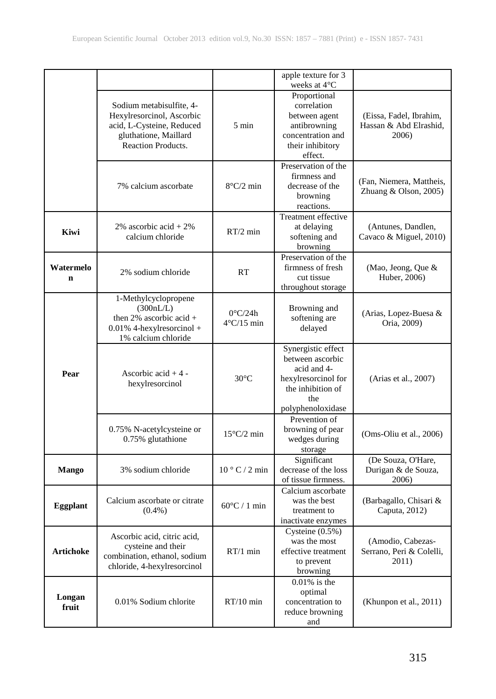|                 |                                                                                                                                          |                                           | apple texture for 3<br>weeks at 4°C                                                                                           |                                                            |
|-----------------|------------------------------------------------------------------------------------------------------------------------------------------|-------------------------------------------|-------------------------------------------------------------------------------------------------------------------------------|------------------------------------------------------------|
|                 | Sodium metabisulfite, 4-<br>Hexylresorcinol, Ascorbic<br>acid, L-Cysteine, Reduced<br>gluthatione, Maillard<br><b>Reaction Products.</b> | $5 \text{ min}$                           | Proportional<br>correlation<br>between agent<br>antibrowning<br>concentration and<br>their inhibitory<br>effect.              | (Eissa, Fadel, Ibrahim,<br>Hassan & Abd Elrashid,<br>2006) |
|                 | 7% calcium ascorbate                                                                                                                     | $8^{\circ}C/2$ min                        | Preservation of the<br>firmness and<br>decrease of the<br>browning<br>reactions.                                              | (Fan, Niemera, Mattheis,<br>Zhuang & Olson, 2005)          |
| Kiwi            | 2% ascorbic acid $+2\%$<br>calcium chloride                                                                                              | $RT/2$ min                                | Treatment effective<br>at delaying<br>softening and<br>browning                                                               | (Antunes, Dandlen,<br>Cavaco & Miguel, 2010)               |
| Watermelo<br>n  | 2% sodium chloride                                                                                                                       | <b>RT</b>                                 | Preservation of the<br>firmness of fresh<br>cut tissue<br>throughout storage                                                  | (Mao, Jeong, Que &<br>Huber, 2006)                         |
|                 | 1-Methylcyclopropene<br>(300nL/L)<br>then 2% ascorbic acid $+$<br>0.01% 4-hexylresorcinol +<br>1% calcium chloride                       | $0^{\circ}$ C/24h<br>$4^{\circ}$ C/15 min | Browning and<br>softening are<br>delayed                                                                                      | (Arias, Lopez-Buesa &<br>Oria, 2009)                       |
| Pear            | Ascorbic acid $+4$ -<br>hexylresorcinol                                                                                                  | $30^{\circ}$ C                            | Synergistic effect<br>between ascorbic<br>acid and 4-<br>hexylresorcinol for<br>the inhibition of<br>the<br>polyphenoloxidase | (Arias et al., 2007)                                       |
|                 | 0.75% N-acetylcysteine or<br>0.75% glutathione                                                                                           | $15^{\circ}$ C/2 min                      | Prevention of<br>browning of pear<br>wedges during<br>storage                                                                 | (Oms-Oliu et al., 2006)                                    |
| <b>Mango</b>    | 3% sodium chloride                                                                                                                       | $10^{\circ}$ C / 2 min                    | Significant<br>decrease of the loss<br>of tissue firmness.                                                                    | (De Souza, O'Hare,<br>Durigan & de Souza,<br>2006)         |
| <b>Eggplant</b> | Calcium ascorbate or citrate<br>$(0.4\%)$                                                                                                | $60^{\circ}$ C / 1 min                    | Calcium ascorbate<br>was the best<br>treatment to<br>inactivate enzymes                                                       | (Barbagallo, Chisari &<br>Caputa, 2012)                    |
| Artichoke       | Ascorbic acid, citric acid,<br>cysteine and their<br>combination, ethanol, sodium<br>chloride, 4-hexylresorcinol                         | $RT/1$ min                                | Cysteine $(0.5\%)$<br>was the most<br>effective treatment<br>to prevent<br>browning                                           | (Amodio, Cabezas-<br>Serrano, Peri & Colelli,<br>2011)     |
| Longan<br>fruit | 0.01% Sodium chlorite                                                                                                                    | RT/10 min                                 | $0.01\%$ is the<br>optimal<br>concentration to<br>reduce browning<br>and                                                      | (Khunpon et al., 2011)                                     |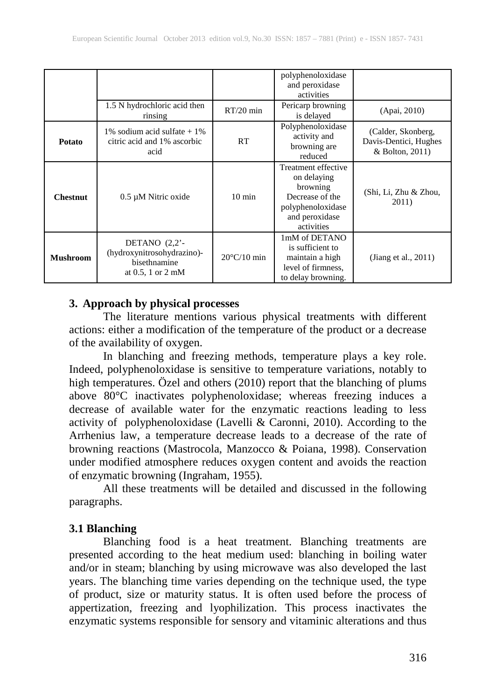|                 |                                                                                        |                       | polyphenoloxidase<br>and peroxidase<br>activities                                                                      |                                                                |
|-----------------|----------------------------------------------------------------------------------------|-----------------------|------------------------------------------------------------------------------------------------------------------------|----------------------------------------------------------------|
|                 | 1.5 N hydrochloric acid then<br>rinsing                                                | $RT/20$ min           | Pericarp browning<br>is delayed                                                                                        | (Apai, 2010)                                                   |
| <b>Potato</b>   | 1% sodium acid sulfate $+1\%$<br>citric acid and 1% ascorbic<br>acid                   | RT                    | Polyphenoloxidase<br>activity and<br>browning are<br>reduced                                                           | (Calder, Skonberg,<br>Davis-Dentici, Hughes<br>& Bolton, 2011) |
| <b>Chestnut</b> | $0.5 \mu M$ Nitric oxide                                                               | $10 \text{ min}$      | Treatment effective<br>on delaying<br>browning<br>Decrease of the<br>polyphenoloxidase<br>and peroxidase<br>activities | (Shi, Li, Zhu & Zhou,<br>2011)                                 |
| <b>Mushroom</b> | DETANO $(2,2)$ -<br>(hydroxynitrosohydrazino)-<br>bisethnamine<br>at $0.5$ , 1 or 2 mM | $20^{\circ}$ C/10 min | 1mM of DETANO<br>is sufficient to<br>maintain a high<br>level of firmness,<br>to delay browning.                       | (Jiang et al., $2011$ )                                        |

## **3. Approach by physical processes**

The literature mentions various physical treatments with different actions: either a modification of the temperature of the product or a decrease of the availability of oxygen.

In blanching and freezing methods, temperature plays a key role. Indeed, polyphenoloxidase is sensitive to temperature variations, notably to high temperatures. Özel and others (2010) report that the blanching of plums above 80°C inactivates polyphenoloxidase; whereas freezing induces a decrease of available water for the enzymatic reactions leading to less activity of polyphenoloxidase (Lavelli & Caronni, 2010). According to the Arrhenius law, a temperature decrease leads to a decrease of the rate of browning reactions (Mastrocola, Manzocco & Poiana, 1998). Conservation under modified atmosphere reduces oxygen content and avoids the reaction of enzymatic browning (Ingraham, 1955).

All these treatments will be detailed and discussed in the following paragraphs.

## **3.1 Blanching**

Blanching food is a heat treatment. Blanching treatments are presented according to the heat medium used: blanching in boiling water and/or in steam; blanching by using microwave was also developed the last years. The blanching time varies depending on the technique used, the type of product, size or maturity status. It is often used before the process of appertization, freezing and lyophilization. This process inactivates the enzymatic systems responsible for sensory and vitaminic alterations and thus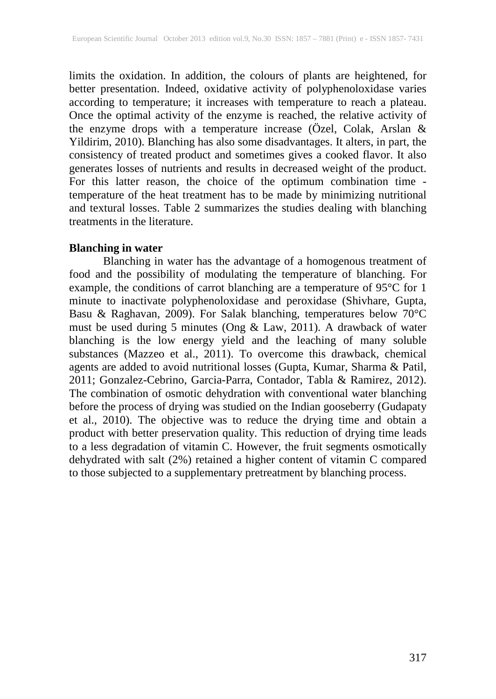limits the oxidation. In addition, the colours of plants are heightened, for better presentation. Indeed, oxidative activity of polyphenoloxidase varies according to temperature; it increases with temperature to reach a plateau. Once the optimal activity of the enzyme is reached, the relative activity of the enzyme drops with a temperature increase (Özel, Colak, Arslan & Yildirim, 2010). Blanching has also some disadvantages. It alters, in part, the consistency of treated product and sometimes gives a cooked flavor. It also generates losses of nutrients and results in decreased weight of the product. For this latter reason, the choice of the optimum combination time temperature of the heat treatment has to be made by minimizing nutritional and textural losses. Table 2 summarizes the studies dealing with blanching treatments in the literature.

## **Blanching in water**

Blanching in water has the advantage of a homogenous treatment of food and the possibility of modulating the temperature of blanching. For example, the conditions of carrot blanching are a temperature of 95°C for 1 minute to inactivate polyphenoloxidase and peroxidase (Shivhare, Gupta, Basu & Raghavan, 2009). For Salak blanching, temperatures below 70°C must be used during 5 minutes (Ong & Law, 2011). A drawback of water blanching is the low energy yield and the leaching of many soluble substances (Mazzeo et al., 2011). To overcome this drawback, chemical agents are added to avoid nutritional losses (Gupta, Kumar, Sharma & Patil, 2011; Gonzalez-Cebrino, Garcia-Parra, Contador, Tabla & Ramirez, 2012). The combination of osmotic dehydration with conventional water blanching before the process of drying was studied on the Indian gooseberry (Gudapaty et al., 2010). The objective was to reduce the drying time and obtain a product with better preservation quality. This reduction of drying time leads to a less degradation of vitamin C. However, the fruit segments osmotically dehydrated with salt (2%) retained a higher content of vitamin C compared to those subjected to a supplementary pretreatment by blanching process.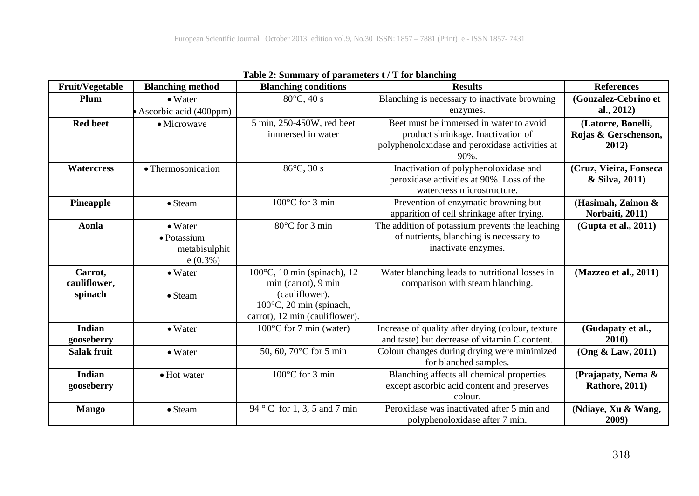| Fruit/Vegetable                    | <b>Blanching method</b>                                               | $\alpha$ so building $\beta$ or purumeters $\alpha$ for biancing<br><b>Blanching conditions</b>                                             | <b>Results</b>                                                                                                                          | <b>References</b>                                   |
|------------------------------------|-----------------------------------------------------------------------|---------------------------------------------------------------------------------------------------------------------------------------------|-----------------------------------------------------------------------------------------------------------------------------------------|-----------------------------------------------------|
| Plum                               | $\bullet$ Water<br>Ascorbic acid (400ppm)                             | $80^{\circ}$ C, 40 s                                                                                                                        | Blanching is necessary to inactivate browning<br>enzymes.                                                                               | (Gonzalez-Cebrino et<br>al., 2012)                  |
| <b>Red beet</b>                    | · Microwave                                                           | 5 min, 250-450W, red beet<br>immersed in water                                                                                              | Beet must be immersed in water to avoid<br>product shrinkage. Inactivation of<br>polyphenoloxidase and peroxidase activities at<br>90%. | (Latorre, Bonelli,<br>Rojas & Gerschenson,<br>2012) |
| <b>Watercress</b>                  | • Thermosonication                                                    | 86°C, 30 s                                                                                                                                  | Inactivation of polyphenoloxidase and<br>peroxidase activities at 90%. Loss of the<br>watercress microstructure.                        | (Cruz, Vieira, Fonseca<br>& Silva, 2011)            |
| <b>Pineapple</b>                   | $\bullet$ Steam                                                       | 100°C for 3 min                                                                                                                             | Prevention of enzymatic browning but<br>apparition of cell shrinkage after frying.                                                      | (Hasimah, Zainon &<br>Norbaiti, 2011)               |
| Aonla                              | $\bullet$ Water<br>$\bullet$ Potassium<br>metabisulphit<br>$e(0.3\%)$ | 80°C for 3 min                                                                                                                              | The addition of potassium prevents the leaching<br>of nutrients, blanching is necessary to<br>inactivate enzymes.                       | (Gupta et al., 2011)                                |
| Carrot,<br>cauliflower,<br>spinach | $\bullet$ Water<br>$\bullet$ Steam                                    | 100°C, 10 min (spinach), 12<br>min (carrot), 9 min<br>(cauliflower).<br>$100^{\circ}$ C, 20 min (spinach,<br>carrot), 12 min (cauliflower). | Water blanching leads to nutritional losses in<br>comparison with steam blanching.                                                      | (Mazzeo et al., 2011)                               |
| <b>Indian</b><br>gooseberry        | $\bullet$ Water                                                       | $100^{\circ}$ C for 7 min (water)                                                                                                           | Increase of quality after drying (colour, texture<br>and taste) but decrease of vitamin C content.                                      | (Gudapaty et al.,<br>2010)                          |
| <b>Salak fruit</b>                 | $\bullet$ Water                                                       | 50, 60, 70°C for 5 min                                                                                                                      | Colour changes during drying were minimized<br>for blanched samples.                                                                    | (Ong & Law, 2011)                                   |
| <b>Indian</b><br>gooseberry        | • Hot water                                                           | 100°C for 3 min                                                                                                                             | Blanching affects all chemical properties<br>except ascorbic acid content and preserves<br>colour.                                      | (Prajapaty, Nema &<br><b>Rathore, 2011)</b>         |
| <b>Mango</b>                       | $\bullet$ Steam                                                       | 94 ° C for 1, 3, 5 and 7 min                                                                                                                | Peroxidase was inactivated after 5 min and<br>polyphenoloxidase after 7 min.                                                            | (Ndiaye, Xu & Wang,<br>2009)                        |

**Table 2: Summary of parameters t / T for blanching**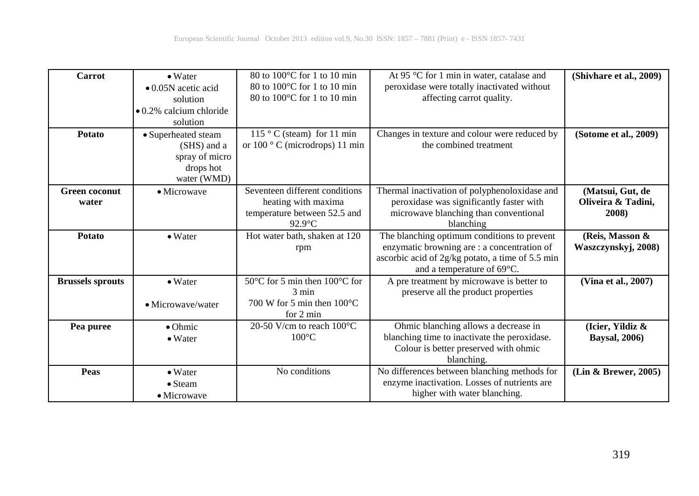| <b>Carrot</b>           | $\bullet$ Water                 | 80 to $100^{\circ}$ C for 1 to 10 min  | At 95 °C for 1 min in water, catalase and        | (Shivhare et al., 2009) |
|-------------------------|---------------------------------|----------------------------------------|--------------------------------------------------|-------------------------|
|                         | $\bullet$ 0.05N acetic acid     | 80 to $100^{\circ}$ C for 1 to 10 min  | peroxidase were totally inactivated without      |                         |
|                         | solution                        | 80 to $100^{\circ}$ C for 1 to 10 min  | affecting carrot quality.                        |                         |
|                         | $\bullet$ 0.2% calcium chloride |                                        |                                                  |                         |
|                         | solution                        |                                        |                                                  |                         |
| <b>Potato</b>           | • Superheated steam             | 115 ° C (steam) for 11 min             | Changes in texture and colour were reduced by    | (Sotome et al., 2009)   |
|                         | (SHS) and a                     | or $100 \degree$ C (microdrops) 11 min | the combined treatment                           |                         |
|                         | spray of micro                  |                                        |                                                  |                         |
|                         | drops hot                       |                                        |                                                  |                         |
|                         | water (WMD)                     |                                        |                                                  |                         |
| <b>Green coconut</b>    | • Microwave                     | Seventeen different conditions         | Thermal inactivation of polyphenoloxidase and    | (Matsui, Gut, de        |
| water                   |                                 | heating with maxima                    | peroxidase was significantly faster with         | Oliveira & Tadini,      |
|                         |                                 | temperature between 52.5 and           | microwave blanching than conventional            | 2008)                   |
|                         |                                 | $92.9^{\circ}$ C                       | blanching                                        |                         |
| Potato                  | $\bullet$ Water                 | Hot water bath, shaken at 120          | The blanching optimum conditions to prevent      | (Reis, Masson &         |
|                         |                                 | rpm                                    | enzymatic browning are: a concentration of       | Waszczynskyj, 2008)     |
|                         |                                 |                                        | ascorbic acid of 2g/kg potato, a time of 5.5 min |                         |
|                         |                                 |                                        | and a temperature of 69°C.                       |                         |
| <b>Brussels sprouts</b> | $\bullet$ Water                 | 50°C for 5 min then 100°C for          | A pre treatment by microwave is better to        | (Vina et al., 2007)     |
|                         |                                 | 3 min                                  | preserve all the product properties              |                         |
|                         | • Microwaye/water               | 700 W for 5 min then $100^{\circ}$ C   |                                                  |                         |
|                         |                                 | for 2 min                              |                                                  |                         |
| Pea puree               | $\bullet$ Ohmic                 | 20-50 V/cm to reach $100^{\circ}$ C    | Ohmic blanching allows a decrease in             | (Icier, Yildiz &        |
|                         | $\bullet$ Water                 | $100^{\circ}$ C                        | blanching time to inactivate the peroxidase.     | <b>Baysal, 2006)</b>    |
|                         |                                 |                                        | Colour is better preserved with ohmic            |                         |
|                         |                                 |                                        | blanching.                                       |                         |
| Peas                    | $\bullet$ Water                 | No conditions                          | No differences between blanching methods for     | (Lin & Brewer, 2005)    |
|                         | $\bullet$ Steam                 |                                        | enzyme inactivation. Losses of nutrients are     |                         |
|                         | $\bullet$ Microwave             |                                        | higher with water blanching.                     |                         |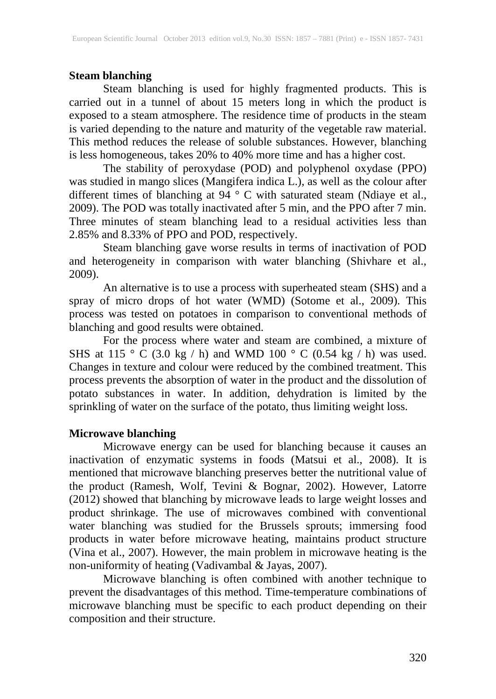## **Steam blanching**

Steam blanching is used for highly fragmented products. This is carried out in a tunnel of about 15 meters long in which the product is exposed to a steam atmosphere. The residence time of products in the steam is varied depending to the nature and maturity of the vegetable raw material. This method reduces the release of soluble substances. However, blanching is less homogeneous, takes 20% to 40% more time and has a higher cost.

The stability of peroxydase (POD) and polyphenol oxydase (PPO) was studied in mango slices (Mangifera indica L.), as well as the colour after different times of blanching at  $94 \degree$  C with saturated steam (Ndiaye et al., 2009). The POD was totally inactivated after 5 min, and the PPO after 7 min. Three minutes of steam blanching lead to a residual activities less than 2.85% and 8.33% of PPO and POD, respectively.

Steam blanching gave worse results in terms of inactivation of POD and heterogeneity in comparison with water blanching (Shivhare et al., 2009).

An alternative is to use a process with superheated steam (SHS) and a spray of micro drops of hot water (WMD) (Sotome et al., 2009). This process was tested on potatoes in comparison to conventional methods of blanching and good results were obtained.

For the process where water and steam are combined, a mixture of SHS at 115  $\degree$  C (3.0 kg / h) and WMD 100  $\degree$  C (0.54 kg / h) was used. Changes in texture and colour were reduced by the combined treatment. This process prevents the absorption of water in the product and the dissolution of potato substances in water. In addition, dehydration is limited by the sprinkling of water on the surface of the potato, thus limiting weight loss.

## **Microwave blanching**

Microwave energy can be used for blanching because it causes an inactivation of enzymatic systems in foods (Matsui et al., 2008). It is mentioned that microwave blanching preserves better the nutritional value of the product (Ramesh, Wolf, Tevini & Bognar, 2002). However, Latorre (2012) showed that blanching by microwave leads to large weight losses and product shrinkage. The use of microwaves combined with conventional water blanching was studied for the Brussels sprouts; immersing food products in water before microwave heating, maintains product structure (Vina et al., 2007). However, the main problem in microwave heating is the non-uniformity of heating (Vadivambal & Jayas, 2007).

Microwave blanching is often combined with another technique to prevent the disadvantages of this method. Time-temperature combinations of microwave blanching must be specific to each product depending on their composition and their structure.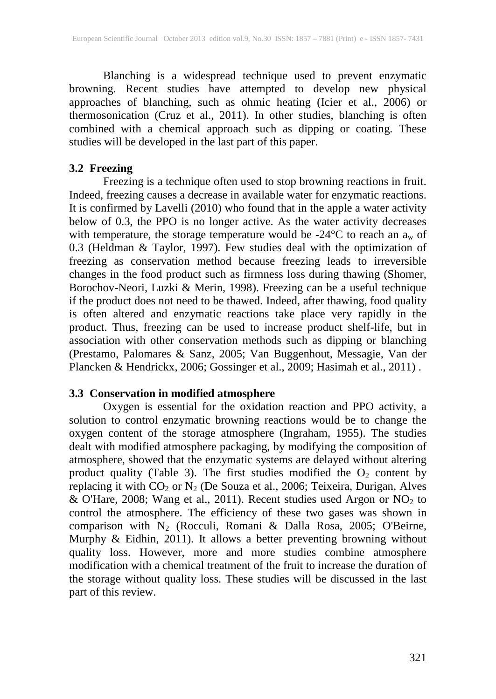Blanching is a widespread technique used to prevent enzymatic browning. Recent studies have attempted to develop new physical approaches of blanching, such as ohmic heating (Icier et al., 2006) or thermosonication (Cruz et al., 2011). In other studies, blanching is often combined with a chemical approach such as dipping or coating. These studies will be developed in the last part of this paper.

## **3.2 Freezing**

Freezing is a technique often used to stop browning reactions in fruit. Indeed, freezing causes a decrease in available water for enzymatic reactions. It is confirmed by Lavelli (2010) who found that in the apple a water activity below of 0.3, the PPO is no longer active. As the water activity decreases with temperature, the storage temperature would be -24 $\degree$ C to reach an a<sub>w</sub> of 0.3 (Heldman & Taylor, 1997). Few studies deal with the optimization of freezing as conservation method because freezing leads to irreversible changes in the food product such as firmness loss during thawing (Shomer, Borochov-Neori, Luzki & Merin, 1998). Freezing can be a useful technique if the product does not need to be thawed. Indeed, after thawing, food quality is often altered and enzymatic reactions take place very rapidly in the product. Thus, freezing can be used to increase product shelf-life, but in association with other conservation methods such as dipping or blanching (Prestamo, Palomares & Sanz, 2005; Van Buggenhout, Messagie, Van der Plancken & Hendrickx, 2006; Gossinger et al., 2009; Hasimah et al., 2011) .

#### **3.3 Conservation in modified atmosphere**

Oxygen is essential for the oxidation reaction and PPO activity, a solution to control enzymatic browning reactions would be to change the oxygen content of the storage atmosphere (Ingraham, 1955). The studies dealt with modified atmosphere packaging, by modifying the composition of atmosphere, showed that the enzymatic systems are delayed without altering product quality (Table 3). The first studies modified the  $O_2$  content by replacing it with  $CO_2$  or  $N_2$  (De Souza et al., 2006; Teixeira, Durigan, Alves & O'Hare, 2008; Wang et al., 2011). Recent studies used Argon or  $NO<sub>2</sub>$  to control the atmosphere. The efficiency of these two gases was shown in comparison with  $N_2$  (Rocculi, Romani & Dalla Rosa, 2005; O'Beirne, Murphy & Eidhin, 2011). It allows a better preventing browning without quality loss. However, more and more studies combine atmosphere modification with a chemical treatment of the fruit to increase the duration of the storage without quality loss. These studies will be discussed in the last part of this review.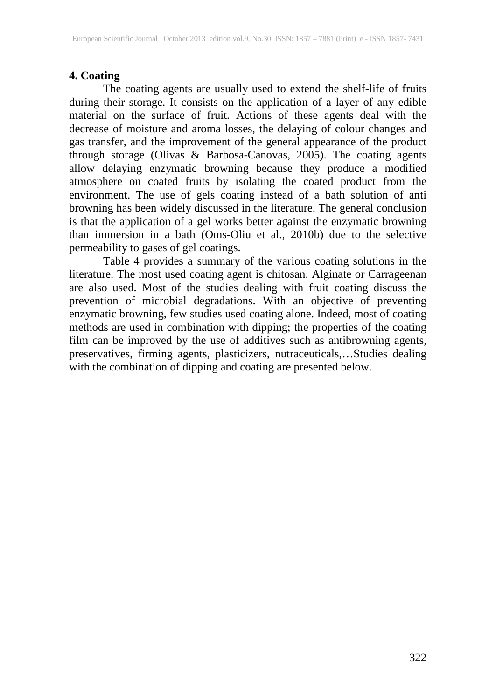## **4. Coating**

The coating agents are usually used to extend the shelf-life of fruits during their storage. It consists on the application of a layer of any edible material on the surface of fruit. Actions of these agents deal with the decrease of moisture and aroma losses, the delaying of colour changes and gas transfer, and the improvement of the general appearance of the product through storage (Olivas & Barbosa-Canovas, 2005). The coating agents allow delaying enzymatic browning because they produce a modified atmosphere on coated fruits by isolating the coated product from the environment. The use of gels coating instead of a bath solution of anti browning has been widely discussed in the literature. The general conclusion is that the application of a gel works better against the enzymatic browning than immersion in a bath (Oms-Oliu et al., 2010b) due to the selective permeability to gases of gel coatings.

Table 4 provides a summary of the various coating solutions in the literature. The most used coating agent is chitosan. Alginate or Carrageenan are also used. Most of the studies dealing with fruit coating discuss the prevention of microbial degradations. With an objective of preventing enzymatic browning, few studies used coating alone. Indeed, most of coating methods are used in combination with dipping; the properties of the coating film can be improved by the use of additives such as antibrowning agents, preservatives, firming agents, plasticizers, nutraceuticals,…Studies dealing with the combination of dipping and coating are presented below.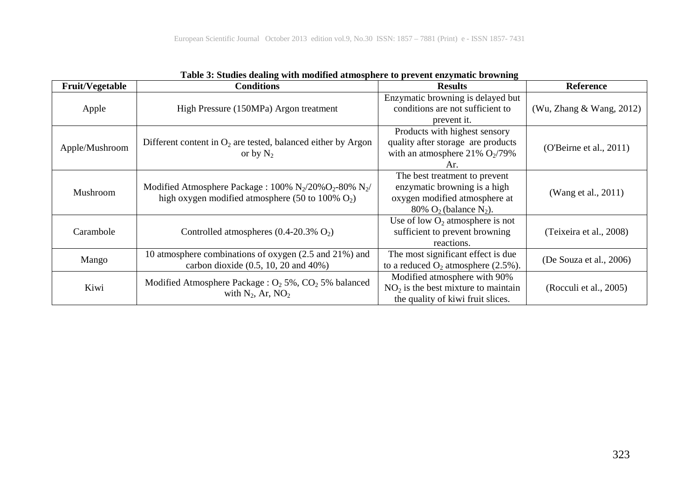| <b>Fruit/Vegetable</b> | <b>Conditions</b>                                               | <b>Results</b>                        | <b>Reference</b>            |  |
|------------------------|-----------------------------------------------------------------|---------------------------------------|-----------------------------|--|
|                        |                                                                 | Enzymatic browning is delayed but     |                             |  |
| Apple                  | High Pressure (150MPa) Argon treatment                          | conditions are not sufficient to      | (Wu, Zhang $\&$ Wang, 2012) |  |
|                        |                                                                 | prevent it.                           |                             |  |
|                        |                                                                 | Products with highest sensory         |                             |  |
| Apple/Mushroom         | Different content in $O_2$ are tested, balanced either by Argon | quality after storage are products    | (O'Beirne et al., $2011$ )  |  |
|                        | or by $N_2$                                                     | with an atmosphere 21% $O_2/79\%$     |                             |  |
|                        |                                                                 | Ar.                                   |                             |  |
|                        |                                                                 | The best treatment to prevent         |                             |  |
| Mushroom               | Modified Atmosphere Package : 100% $N_2/20\%O_2$ -80% $N_2/$    | enzymatic browning is a high          | (Wang et al., 2011)         |  |
|                        | high oxygen modified atmosphere (50 to 100% $O_2$ )             | oxygen modified atmosphere at         |                             |  |
|                        |                                                                 | 80% $O_2$ (balance N <sub>2</sub> ).  |                             |  |
|                        |                                                                 | Use of low $O_2$ atmosphere is not    |                             |  |
| Carambole              | Controlled atmospheres $(0.4-20.3\% \text{ O}_2)$               | sufficient to prevent browning        | (Teixeira et al., 2008)     |  |
|                        |                                                                 | reactions.                            |                             |  |
| Mango                  | 10 atmosphere combinations of oxygen (2.5 and 21%) and          | The most significant effect is due    | (De Souza et al., 2006)     |  |
|                        | carbon dioxide $(0.5, 10, 20, 40\%)$                            | to a reduced $O_2$ atmosphere (2.5%). |                             |  |
|                        | Modified Atmosphere Package : $O_2$ 5%, $CO_2$ 5% balanced      | Modified atmosphere with 90%          |                             |  |
| Kiwi                   | with $N_2$ , Ar, $NO_2$                                         | $NO2$ is the best mixture to maintain | (Rocculi et al., 2005)      |  |
|                        |                                                                 | the quality of kiwi fruit slices.     |                             |  |

**Table 3: Studies dealing with modified atmosphere to prevent enzymatic browning**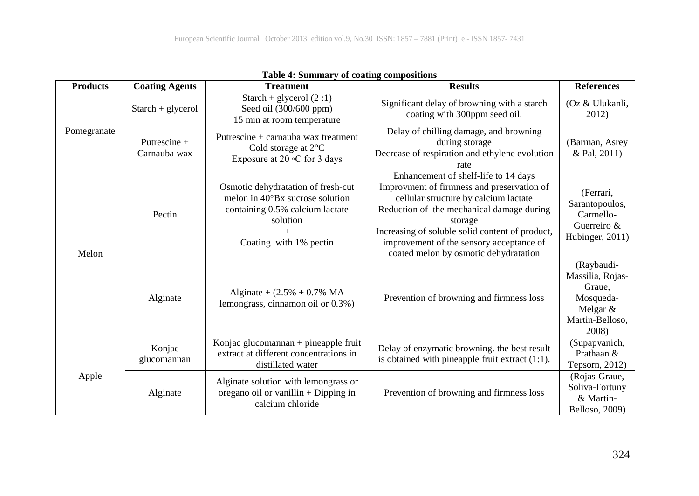| <b>Products</b> | <b>Coating Agents</b>        | $\alpha$ - $\alpha$ building $\alpha$ or counting compositions<br><b>Treatment</b>                                                             | <b>Results</b>                                                                                                                                                                                                                                                                                                              | <b>References</b>                                                                               |
|-----------------|------------------------------|------------------------------------------------------------------------------------------------------------------------------------------------|-----------------------------------------------------------------------------------------------------------------------------------------------------------------------------------------------------------------------------------------------------------------------------------------------------------------------------|-------------------------------------------------------------------------------------------------|
|                 | $Start + glycerol$           | Starch + glycerol $(2:1)$<br>Seed oil (300/600 ppm)<br>15 min at room temperature                                                              | Significant delay of browning with a starch<br>coating with 300ppm seed oil.                                                                                                                                                                                                                                                | (Oz & Ulukanli,<br>2012)                                                                        |
| Pomegranate     | Putrescine +<br>Carnauba wax | Putrescine $+$ carnauba wax treatment<br>Cold storage at $2^{\circ}$ C<br>Exposure at 20 $\circ$ C for 3 days                                  | Delay of chilling damage, and browning<br>during storage<br>Decrease of respiration and ethylene evolution<br>rate                                                                                                                                                                                                          | (Barman, Asrey<br>& Pal, 2011)                                                                  |
| Melon           | Pectin                       | Osmotic dehydratation of fresh-cut<br>melon in 40°Bx sucrose solution<br>containing 0.5% calcium lactate<br>solution<br>Coating with 1% pectin | Enhancement of shelf-life to 14 days<br>Improvment of firmness and preservation of<br>cellular structure by calcium lactate<br>Reduction of the mechanical damage during<br>storage<br>Increasing of soluble solid content of product,<br>improvement of the sensory acceptance of<br>coated melon by osmotic dehydratation | (Ferrari,<br>Sarantopoulos,<br>Carmello-<br>Guerreiro &<br>Hubinger, 2011)                      |
|                 | Alginate                     | Alginate + $(2.5\% + 0.7\% \text{ MA})$<br>lemongrass, cinnamon oil or 0.3%)                                                                   | Prevention of browning and firmness loss                                                                                                                                                                                                                                                                                    | (Raybaudi-<br>Massilia, Rojas-<br>Graue,<br>Mosqueda-<br>Melgar $&$<br>Martin-Belloso,<br>2008) |
|                 | Konjac<br>glucomannan        | Konjac glucomannan + pineapple fruit<br>extract at different concentrations in<br>distillated water                                            | Delay of enzymatic browning. the best result<br>is obtained with pineapple fruit extract $(1:1)$ .                                                                                                                                                                                                                          | (Supapvanich,<br>Prathaan &<br>Tepsorn, 2012)                                                   |
| Apple           | Alginate                     | Alginate solution with lemongrass or<br>oregano oil or vanillin + Dipping in<br>calcium chloride                                               | Prevention of browning and firmness loss                                                                                                                                                                                                                                                                                    | (Rojas-Graue,<br>Soliva-Fortuny<br>& Martin-<br>Belloso, 2009)                                  |

|  |  |  | <b>Table 4: Summary of coating compositions</b> |
|--|--|--|-------------------------------------------------|
|--|--|--|-------------------------------------------------|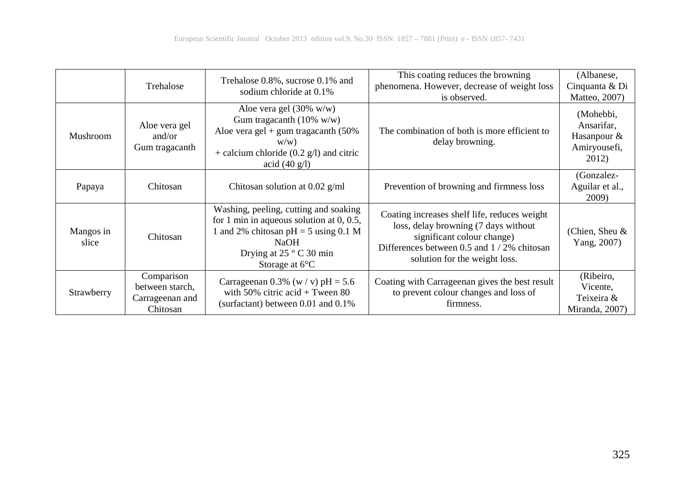|                    | Trehalose                                                    | Trehalose 0.8%, sucrose 0.1% and<br>sodium chloride at 0.1%                                                                                                                                                 | This coating reduces the browning<br>phenomena. However, decrease of weight loss<br>is observed.                                                                                                 | (Albanese,<br>Cinquanta & Di<br>Matteo, 2007)                   |
|--------------------|--------------------------------------------------------------|-------------------------------------------------------------------------------------------------------------------------------------------------------------------------------------------------------------|--------------------------------------------------------------------------------------------------------------------------------------------------------------------------------------------------|-----------------------------------------------------------------|
| Mushroom           | Aloe vera gel<br>and/or<br>Gum tragacanth                    | Aloe vera gel $(30\% \text{ w/w})$<br>Gum tragacanth $(10\% \text{ w/w})$<br>Aloe vera gel + gum tragacanth $(50\%$<br>W(W)<br>+ calcium chloride $(0.2 \text{ g/l})$ and citric<br>acid $(40 \text{ g/l})$ | The combination of both is more efficient to<br>delay browning.                                                                                                                                  | (Mohebbi,<br>Ansarifar,<br>Hasanpour &<br>Amiryousefi,<br>2012) |
| Papaya             | Chitosan                                                     | Chitosan solution at 0.02 $g/ml$                                                                                                                                                                            | Prevention of browning and firmness loss                                                                                                                                                         | (Gonzalez-<br>Aguilar et al.,<br>2009)                          |
| Mangos in<br>slice | Chitosan                                                     | Washing, peeling, cutting and soaking<br>for 1 min in aqueous solution at $0, 0.5$ ,<br>and 2% chitosan $pH = 5$ using 0.1 M<br>NaOH<br>Drying at $25^{\circ}$ C 30 min<br>Storage at 6°C                   | Coating increases shelf life, reduces weight<br>loss, delay browning (7 days without<br>significant colour change)<br>Differences between 0.5 and 1/2% chitosan<br>solution for the weight loss. | (Chien, Sheu &<br>Yang, 2007)                                   |
| Strawberry         | Comparison<br>between starch,<br>Carrageenan and<br>Chitosan | Carrageenan 0.3% (w/v) $pH = 5.6$<br>with 50% citric acid + Tween 80<br>(surfactant) between 0.01 and 0.1%                                                                                                  | Coating with Carrage enan gives the best result<br>to prevent colour changes and loss of<br>firmness.                                                                                            | (Ribeiro,<br>Vicente,<br>Teixeira &<br>Miranda, 2007)           |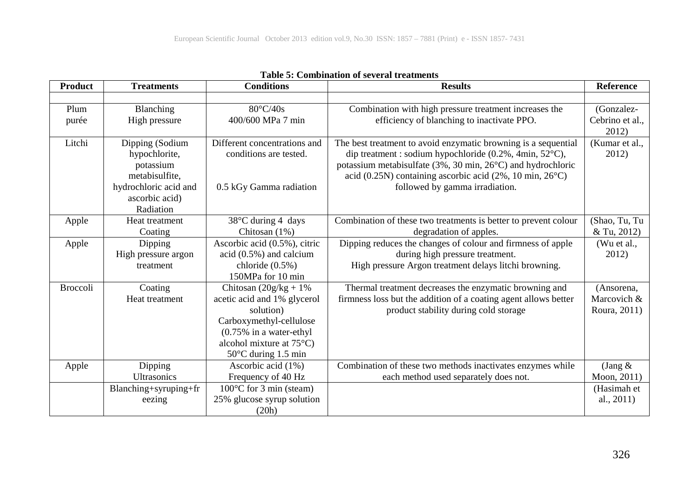| <b>Product</b>  | <b>Treatments</b>                                                                                                       | <b>Conditions</b>                                                                                                                                                                                     | <b>Results</b>                                                                                                                                                                                                                                                                         | Reference                                 |
|-----------------|-------------------------------------------------------------------------------------------------------------------------|-------------------------------------------------------------------------------------------------------------------------------------------------------------------------------------------------------|----------------------------------------------------------------------------------------------------------------------------------------------------------------------------------------------------------------------------------------------------------------------------------------|-------------------------------------------|
|                 |                                                                                                                         |                                                                                                                                                                                                       |                                                                                                                                                                                                                                                                                        |                                           |
| Plum            | Blanching                                                                                                               | 80°C/40s                                                                                                                                                                                              | Combination with high pressure treatment increases the                                                                                                                                                                                                                                 | (Gonzalez-                                |
| purée           | High pressure                                                                                                           | 400/600 MPa 7 min                                                                                                                                                                                     | efficiency of blanching to inactivate PPO.                                                                                                                                                                                                                                             | Cebrino et al.,<br>2012)                  |
| Litchi          | Dipping (Sodium<br>hypochlorite,<br>potassium<br>metabisulfite,<br>hydrochloric acid and<br>ascorbic acid)<br>Radiation | Different concentrations and<br>conditions are tested.<br>0.5 kGy Gamma radiation                                                                                                                     | The best treatment to avoid enzymatic browning is a sequential<br>dip treatment : sodium hypochloride (0.2%, 4min, 52°C),<br>potassium metabisulfate (3%, 30 min, 26°C) and hydrochloric<br>acid (0.25N) containing ascorbic acid (2%, 10 min, 26°C)<br>followed by gamma irradiation. | (Kumar et al.,<br>2012)                   |
| Apple           | Heat treatment<br>Coating                                                                                               | 38°C during 4 days<br>Chitosan $(1%)$                                                                                                                                                                 | Combination of these two treatments is better to prevent colour<br>degradation of apples.                                                                                                                                                                                              | (Shao, Tu, Tu<br>& Tu, 2012)              |
| Apple           | Dipping<br>High pressure argon<br>treatment                                                                             | Ascorbic acid (0.5%), citric<br>acid (0.5%) and calcium<br>chloride $(0.5\%)$<br>150MPa for 10 min                                                                                                    | Dipping reduces the changes of colour and firmness of apple<br>during high pressure treatment.<br>High pressure Argon treatment delays litchi browning.                                                                                                                                | (Wu et al.,<br>2012)                      |
| <b>Broccoli</b> | Coating<br>Heat treatment                                                                                               | Chitosan $(20g/kg + 1\%)$<br>acetic acid and 1% glycerol<br>solution)<br>Carboxymethyl-cellulose<br>$(0.75\%$ in a water-ethyl<br>alcohol mixture at $75^{\circ}$ C)<br>$50^{\circ}$ C during 1.5 min | Thermal treatment decreases the enzymatic browning and<br>firmness loss but the addition of a coating agent allows better<br>product stability during cold storage                                                                                                                     | (Ansorena,<br>Marcovich &<br>Roura, 2011) |
| Apple           | Dipping<br>Ultrasonics                                                                                                  | Ascorbic acid (1%)<br>Frequency of 40 Hz                                                                                                                                                              | Combination of these two methods inactivates enzymes while<br>each method used separately does not.                                                                                                                                                                                    | (Jang $\&$<br>Moon, 2011)                 |
|                 | Blanching+syruping+fr<br>eezing                                                                                         | $100^{\circ}$ C for 3 min (steam)<br>25% glucose syrup solution<br>(20h)                                                                                                                              |                                                                                                                                                                                                                                                                                        | (Hasimah et<br>al., $2011$ )              |

**Table 5: Combination of several treatments**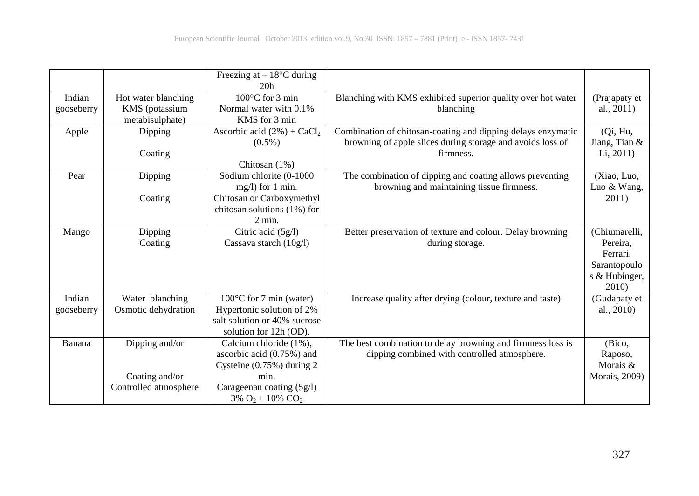|                      |                                                           | Freezing at $-18$ °C during<br>20 <sub>h</sub>                                                                                                   |                                                                                                                                         |                                                                                 |
|----------------------|-----------------------------------------------------------|--------------------------------------------------------------------------------------------------------------------------------------------------|-----------------------------------------------------------------------------------------------------------------------------------------|---------------------------------------------------------------------------------|
| Indian<br>gooseberry | Hot water blanching<br>KMS (potassium<br>metabisulphate)  | $100^{\circ}$ C for 3 min<br>Normal water with 0.1%<br>KMS for 3 min                                                                             | Blanching with KMS exhibited superior quality over hot water<br>blanching                                                               | (Prajapaty et<br>al., $2011$ )                                                  |
| Apple                | Dipping<br>Coating                                        | Ascorbic acid $(2\%)$ + CaCl <sub>2</sub><br>$(0.5\%)$                                                                                           | Combination of chitosan-coating and dipping delays enzymatic<br>browning of apple slices during storage and avoids loss of<br>firmness. | (Qi, Hu,<br>Jiang, Tian &<br>Li, 2011                                           |
| Pear                 | Dipping                                                   | Chitosan $(1%)$<br>Sodium chlorite (0-1000<br>$mg/l$ ) for 1 min.                                                                                | The combination of dipping and coating allows preventing<br>browning and maintaining tissue firmness.                                   | (Xiao, Luo,<br>Luo & Wang,                                                      |
|                      | Coating                                                   | Chitosan or Carboxymethyl<br>chitosan solutions $(1%)$ for<br>$2$ min.                                                                           |                                                                                                                                         | 2011)                                                                           |
| Mango                | Dipping<br>Coating                                        | Citric acid $(5g/l)$<br>Cassava starch $(10g/l)$                                                                                                 | Better preservation of texture and colour. Delay browning<br>during storage.                                                            | (Chiumarelli,<br>Pereira,<br>Ferrari,<br>Sarantopoulo<br>s & Hubinger,<br>2010) |
| Indian<br>gooseberry | Water blanching<br>Osmotic dehydration                    | $100^{\circ}$ C for 7 min (water)<br>Hypertonic solution of 2%<br>salt solution or 40% sucrose<br>solution for 12h (OD).                         | Increase quality after drying (colour, texture and taste)                                                                               | (Gudapaty et<br>al., 2010)                                                      |
| Banana               | Dipping and/or<br>Coating and/or<br>Controlled atmosphere | Calcium chloride (1%),<br>ascorbic acid (0.75%) and<br>Cysteine (0.75%) during 2<br>min.<br>Carageenan coating $(5g/l)$<br>3% $O_2$ + 10% $CO_2$ | The best combination to delay browning and firmness loss is<br>dipping combined with controlled atmosphere.                             | (Bico,<br>Raposo,<br>Morais &<br>Morais, 2009)                                  |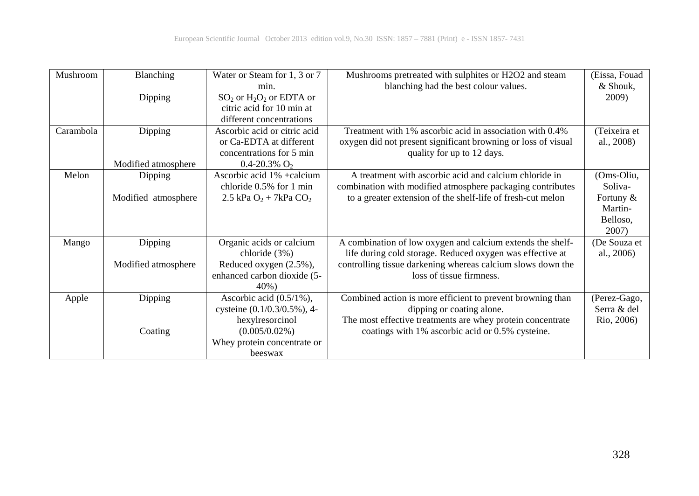| Mushroom  | Blanching           | Water or Steam for 1, 3 or 7  | Mushrooms pretreated with sulphites or H2O2 and steam         | (Eissa, Fouad |
|-----------|---------------------|-------------------------------|---------------------------------------------------------------|---------------|
|           |                     | min.                          | blanching had the best colour values.                         | & Shouk,      |
|           | Dipping             | $SO_2$ or $H_2O_2$ or EDTA or |                                                               | 2009)         |
|           |                     | citric acid for 10 min at     |                                                               |               |
|           |                     | different concentrations      |                                                               |               |
| Carambola | Dipping             | Ascorbic acid or citric acid  | Treatment with 1% ascorbic acid in association with 0.4%      | Teixeira et   |
|           |                     | or Ca-EDTA at different       | oxygen did not present significant browning or loss of visual | al., 2008)    |
|           |                     | concentrations for 5 min      | quality for up to 12 days.                                    |               |
|           | Modified atmosphere | $0.4 - 20.3\% O_2$            |                                                               |               |
| Melon     | Dipping             | Ascorbic acid $1\%$ +calcium  | A treatment with ascorbic acid and calcium chloride in        | (Oms-Oliu,    |
|           |                     | chloride $0.5\%$ for 1 min    | combination with modified atmosphere packaging contributes    | Soliva-       |
|           | Modified atmosphere | 2.5 kPa $O_2$ + 7kPa $CO_2$   | to a greater extension of the shelf-life of fresh-cut melon   | Fortuny &     |
|           |                     |                               |                                                               | Martin-       |
|           |                     |                               |                                                               | Belloso,      |
|           |                     |                               |                                                               | 2007)         |
| Mango     | Dipping             | Organic acids or calcium      | A combination of low oxygen and calcium extends the shelf-    | (De Souza et  |
|           |                     | chloride (3%)                 | life during cold storage. Reduced oxygen was effective at     | al., $2006$ ) |
|           | Modified atmosphere | Reduced oxygen (2.5%),        | controlling tissue darkening whereas calcium slows down the   |               |
|           |                     | enhanced carbon dioxide (5-   | loss of tissue firmness.                                      |               |
|           |                     | $40\%$ )                      |                                                               |               |
| Apple     | Dipping             | Ascorbic acid $(0.5/1\%)$ ,   | Combined action is more efficient to prevent browning than    | (Perez-Gago,  |
|           |                     | cysteine (0.1/0.3/0.5%), 4-   | dipping or coating alone.                                     | Serra & del   |
|           |                     | hexylresorcinol               | The most effective treatments are whey protein concentrate    | Rio, 2006)    |
|           | Coating             | $(0.005/0.02\%)$              | coatings with 1% ascorbic acid or 0.5% cysteine.              |               |
|           |                     | Whey protein concentrate or   |                                                               |               |
|           |                     | beeswax                       |                                                               |               |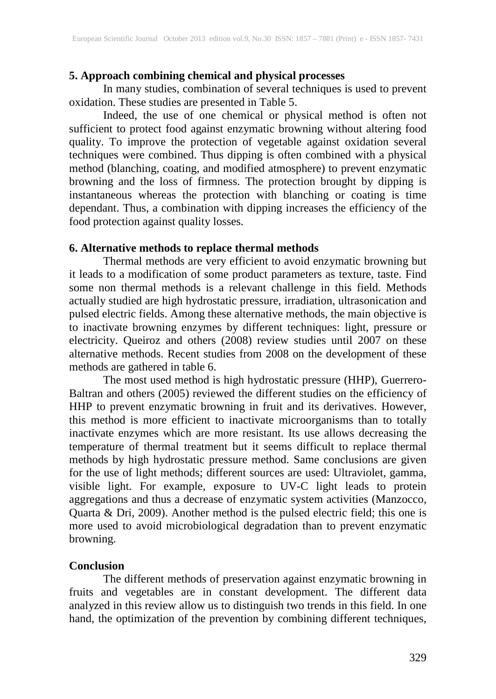## **5. Approach combining chemical and physical processes**

In many studies, combination of several techniques is used to prevent oxidation. These studies are presented in Table 5.

Indeed, the use of one chemical or physical method is often not sufficient to protect food against enzymatic browning without altering food quality. To improve the protection of vegetable against oxidation several techniques were combined. Thus dipping is often combined with a physical method (blanching, coating, and modified atmosphere) to prevent enzymatic browning and the loss of firmness. The protection brought by dipping is instantaneous whereas the protection with blanching or coating is time dependant. Thus, a combination with dipping increases the efficiency of the food protection against quality losses.

## **6. Alternative methods to replace thermal methods**

Thermal methods are very efficient to avoid enzymatic browning but it leads to a modification of some product parameters as texture, taste. Find some non thermal methods is a relevant challenge in this field. Methods actually studied are high hydrostatic pressure, irradiation, ultrasonication and pulsed electric fields. Among these alternative methods, the main objective is to inactivate browning enzymes by different techniques: light, pressure or electricity. Queiroz and others (2008) review studies until 2007 on these alternative methods. Recent studies from 2008 on the development of these methods are gathered in table 6.

The most used method is high hydrostatic pressure (HHP), Guerrero-Baltran and others (2005) reviewed the different studies on the efficiency of HHP to prevent enzymatic browning in fruit and its derivatives. However, this method is more efficient to inactivate microorganisms than to totally inactivate enzymes which are more resistant. Its use allows decreasing the temperature of thermal treatment but it seems difficult to replace thermal methods by high hydrostatic pressure method. Same conclusions are given for the use of light methods; different sources are used: Ultraviolet, gamma, visible light. For example, exposure to UV-C light leads to protein aggregations and thus a decrease of enzymatic system activities (Manzocco, Quarta & Dri, 2009). Another method is the pulsed electric field; this one is more used to avoid microbiological degradation than to prevent enzymatic browning.

#### **Conclusion**

The different methods of preservation against enzymatic browning in fruits and vegetables are in constant development. The different data analyzed in this review allow us to distinguish two trends in this field. In one hand, the optimization of the prevention by combining different techniques,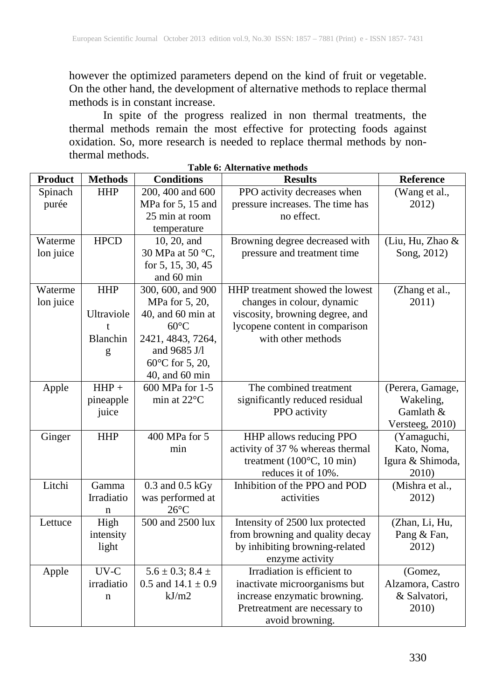however the optimized parameters depend on the kind of fruit or vegetable. On the other hand, the development of alternative methods to replace thermal methods is in constant increase.

In spite of the progress realized in non thermal treatments, the thermal methods remain the most effective for protecting foods against oxidation. So, more research is needed to replace thermal methods by nonthermal methods.

| <b>Product</b> | <b>Methods</b> | <b>Conditions</b>         | <b>Results</b>                             | Reference        |
|----------------|----------------|---------------------------|--------------------------------------------|------------------|
| Spinach        | <b>HHP</b>     | 200, 400 and 600          | PPO activity decreases when                | (Wang et al.,    |
| purée          |                | MPa for 5, 15 and         | pressure increases. The time has           | 2012)            |
|                |                | 25 min at room            | no effect.                                 |                  |
|                |                | temperature               |                                            |                  |
| Waterme        | <b>HPCD</b>    | 10, 20, and               | Browning degree decreased with             | (Liu, Hu, Zhao & |
| lon juice      |                | 30 MPa at 50 °C,          | pressure and treatment time                | Song, 2012)      |
|                |                | for 5, 15, 30, 45         |                                            |                  |
|                |                | and 60 min                |                                            |                  |
| Waterme        | <b>HHP</b>     | 300, 600, and 900         | HHP treatment showed the lowest            | (Zhang et al.,   |
| lon juice      |                | MPa for 5, 20,            | changes in colour, dynamic                 | 2011)            |
|                | Ultraviole     | 40, and 60 min at         | viscosity, browning degree, and            |                  |
|                | t              | $60^{\circ}$ C            | lycopene content in comparison             |                  |
|                | Blanchin       | 2421, 4843, 7264,         | with other methods                         |                  |
|                | g              | and 9685 J/l              |                                            |                  |
|                |                | 60°C for 5, 20,           |                                            |                  |
|                |                | 40, and 60 min            |                                            |                  |
| Apple          | $HHP +$        | 600 MPa for 1-5           | The combined treatment                     | (Perera, Gamage, |
|                | pineapple      | min at 22°C               | significantly reduced residual             | Wakeling,        |
|                | juice          |                           | PPO activity                               | Gamlath &        |
|                |                |                           |                                            | Versteeg, 2010)  |
| Ginger         | <b>HHP</b>     | 400 MPa for 5             | HHP allows reducing PPO                    | (Yamaguchi,      |
|                |                | min                       | activity of 37 % whereas thermal           | Kato, Noma,      |
|                |                |                           | treatment $(100^{\circ}C, 10 \text{ min})$ | Igura & Shimoda, |
|                |                |                           | reduces it of 10%.                         | 2010)            |
| Litchi         | Gamma          | 0.3 and 0.5 kGy           | Inhibition of the PPO and POD              | (Mishra et al.,  |
|                | Irradiatio     | was performed at          | activities                                 | 2012)            |
|                | n              | $26^{\circ}$ C            |                                            |                  |
| Lettuce        | High           | 500 and 2500 lux          | Intensity of 2500 lux protected            | (Zhan, Li, Hu,   |
|                | intensity      |                           | from browning and quality decay            | Pang & Fan,      |
|                | light          |                           | by inhibiting browning-related             | 2012)            |
|                |                |                           | enzyme activity                            |                  |
| Apple          | $UV-C$         | $5.6 \pm 0.3$ ; $8.4 \pm$ | Irradiation is efficient to                | (Gomez,          |
|                | irradiatio     | 0.5 and $14.1 \pm 0.9$    | inactivate microorganisms but              | Alzamora, Castro |
|                | $\mathbf n$    | kJ/m2                     | increase enzymatic browning.               | & Salvatori,     |
|                |                |                           | Pretreatment are necessary to              | 2010)            |
|                |                |                           | avoid browning.                            |                  |

**Table 6: Alternative methods**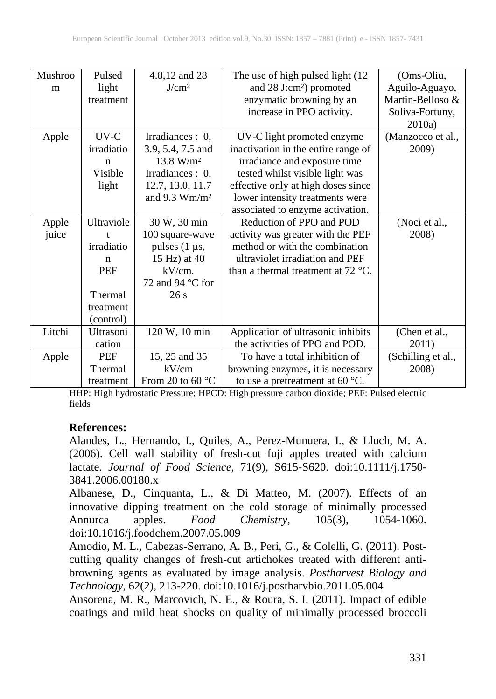| Mushroo | Pulsed     | 4.8,12 and 28             | The use of high pulsed light (12)             | (Oms-Oliu,         |
|---------|------------|---------------------------|-----------------------------------------------|--------------------|
| m       | light      | J/cm <sup>2</sup>         | and 28 J:cm <sup>2</sup> ) promoted           | Aguilo-Aguayo,     |
|         | treatment  |                           | enzymatic browning by an                      | Martin-Belloso &   |
|         |            |                           | increase in PPO activity.                     | Soliva-Fortuny,    |
|         |            |                           |                                               | 2010a)             |
| Apple   | UV-C       | Irradiances : 0,          | UV-C light promoted enzyme                    | (Manzocco et al.,  |
|         | irradiatio | 3.9, 5.4, 7.5 and         | inactivation in the entire range of           | 2009)              |
|         | n          | 13.8 W/m <sup>2</sup>     | irradiance and exposure time                  |                    |
|         | Visible    | Irradiances : 0,          | tested whilst visible light was               |                    |
|         | light      | 12.7, 13.0, 11.7          | effective only at high doses since            |                    |
|         |            | and $9.3 \text{ Wm/m}^2$  | lower intensity treatments were               |                    |
|         |            |                           | associated to enzyme activation.              |                    |
| Apple   | Ultraviole | 30 W, 30 min              | Reduction of PPO and POD                      | (Noci et al.,      |
| juice   |            | 100 square-wave           | activity was greater with the PEF             | 2008)              |
|         | irradiatio | pulses $(1 \mu s,$        | method or with the combination                |                    |
|         | n          | 15 Hz) at 40              | ultraviolet irradiation and PEF               |                    |
|         | PEF        | $kV/cm$ .                 | than a thermal treatment at $72 \text{ °C}$ . |                    |
|         |            | 72 and 94 °C for          |                                               |                    |
|         | Thermal    | 26s                       |                                               |                    |
|         | treatment  |                           |                                               |                    |
|         | (control)  |                           |                                               |                    |
| Litchi  | Ultrasoni  | 120 W, 10 min             | Application of ultrasonic inhibits            | (Chen et al.,      |
|         | cation     |                           | the activities of PPO and POD.                | 2011)              |
| Apple   | PEF        | 15, 25 and 35             | To have a total inhibition of                 | (Schilling et al., |
|         | Thermal    | kV/cm                     | browning enzymes, it is necessary             | 2008)              |
|         | treatment  | From 20 to 60 $\degree$ C | to use a pretreatment at 60 $^{\circ}$ C.     |                    |

HHP: High hydrostatic Pressure; HPCD: High pressure carbon dioxide; PEF: Pulsed electric fields

# **References:**

Alandes, L., Hernando, I., Quiles, A., Perez-Munuera, I., & Lluch, M. A. (2006). Cell wall stability of fresh-cut fuji apples treated with calcium lactate. *Journal of Food Science*, 71(9), S615-S620. doi:10.1111/j.1750- 3841.2006.00180.x

Albanese, D., Cinquanta, L., & Di Matteo, M. (2007). Effects of an innovative dipping treatment on the cold storage of minimally processed Annurca apples. *Food Chemistry*, 105(3), 1054-1060. doi:10.1016/j.foodchem.2007.05.009

Amodio, M. L., Cabezas-Serrano, A. B., Peri, G., & Colelli, G. (2011). Postcutting quality changes of fresh-cut artichokes treated with different antibrowning agents as evaluated by image analysis. *Postharvest Biology and Technology*, 62(2), 213-220. doi:10.1016/j.postharvbio.2011.05.004

Ansorena, M. R., Marcovich, N. E., & Roura, S. I. (2011). Impact of edible coatings and mild heat shocks on quality of minimally processed broccoli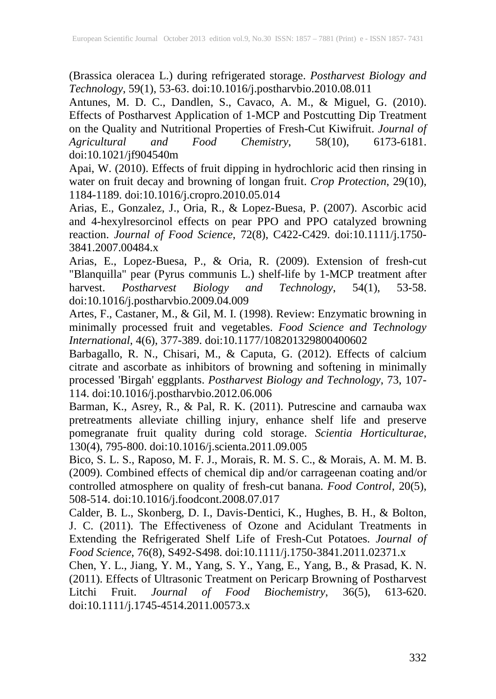(Brassica oleracea L.) during refrigerated storage. *Postharvest Biology and Technology*, 59(1), 53-63. doi:10.1016/j.postharvbio.2010.08.011

Antunes, M. D. C., Dandlen, S., Cavaco, A. M., & Miguel, G. (2010). Effects of Postharvest Application of 1-MCP and Postcutting Dip Treatment on the Quality and Nutritional Properties of Fresh-Cut Kiwifruit. *Journal of Agricultural and Food Chemistry*, 58(10), 6173-6181. doi:10.1021/jf904540m

Apai, W. (2010). Effects of fruit dipping in hydrochloric acid then rinsing in water on fruit decay and browning of longan fruit. *Crop Protection*, 29(10), 1184-1189. doi:10.1016/j.cropro.2010.05.014

Arias, E., Gonzalez, J., Oria, R., & Lopez-Buesa, P. (2007). Ascorbic acid and 4-hexylresorcinol effects on pear PPO and PPO catalyzed browning reaction. *Journal of Food Science*, 72(8), C422-C429. doi:10.1111/j.1750- 3841.2007.00484.x

Arias, E., Lopez-Buesa, P., & Oria, R. (2009). Extension of fresh-cut "Blanquilla" pear (Pyrus communis L.) shelf-life by 1-MCP treatment after harvest. *Postharvest Biology and Technology*, 54(1), 53-58. doi:10.1016/j.postharvbio.2009.04.009

Artes, F., Castaner, M., & Gil, M. I. (1998). Review: Enzymatic browning in minimally processed fruit and vegetables. *Food Science and Technology International*, 4(6), 377-389. doi:10.1177/108201329800400602

Barbagallo, R. N., Chisari, M., & Caputa, G. (2012). Effects of calcium citrate and ascorbate as inhibitors of browning and softening in minimally processed 'Birgah' eggplants. *Postharvest Biology and Technology*, 73, 107- 114. doi:10.1016/j.postharvbio.2012.06.006

Barman, K., Asrey, R., & Pal, R. K. (2011). Putrescine and carnauba wax pretreatments alleviate chilling injury, enhance shelf life and preserve pomegranate fruit quality during cold storage. *Scientia Horticulturae*, 130(4), 795-800. doi:10.1016/j.scienta.2011.09.005

Bico, S. L. S., Raposo, M. F. J., Morais, R. M. S. C., & Morais, A. M. M. B. (2009). Combined effects of chemical dip and/or carrageenan coating and/or controlled atmosphere on quality of fresh-cut banana. *Food Control*, 20(5), 508-514. doi:10.1016/j.foodcont.2008.07.017

Calder, B. L., Skonberg, D. I., Davis-Dentici, K., Hughes, B. H., & Bolton, J. C. (2011). The Effectiveness of Ozone and Acidulant Treatments in Extending the Refrigerated Shelf Life of Fresh-Cut Potatoes. *Journal of Food Science*, 76(8), S492-S498. doi:10.1111/j.1750-3841.2011.02371.x

Chen, Y. L., Jiang, Y. M., Yang, S. Y., Yang, E., Yang, B., & Prasad, K. N. (2011). Effects of Ultrasonic Treatment on Pericarp Browning of Postharvest Litchi Fruit. *Journal of Food Biochemistry*, 36(5), 613-620. doi:10.1111/j.1745-4514.2011.00573.x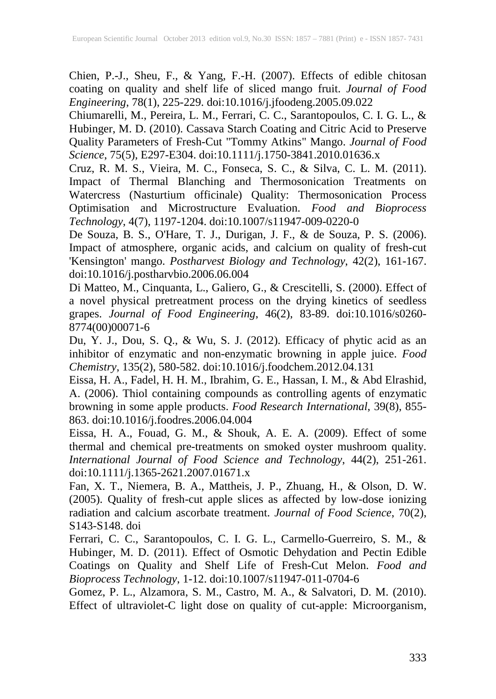Chien, P.-J., Sheu, F., & Yang, F.-H. (2007). Effects of edible chitosan coating on quality and shelf life of sliced mango fruit. *Journal of Food Engineering*, 78(1), 225-229. doi:10.1016/j.jfoodeng.2005.09.022

Chiumarelli, M., Pereira, L. M., Ferrari, C. C., Sarantopoulos, C. I. G. L., & Hubinger, M. D. (2010). Cassava Starch Coating and Citric Acid to Preserve Quality Parameters of Fresh-Cut "Tommy Atkins" Mango. *Journal of Food Science*, 75(5), E297-E304. doi:10.1111/j.1750-3841.2010.01636.x

Cruz, R. M. S., Vieira, M. C., Fonseca, S. C., & Silva, C. L. M. (2011). Impact of Thermal Blanching and Thermosonication Treatments on Watercress (Nasturtium officinale) Quality: Thermosonication Process Optimisation and Microstructure Evaluation. *Food and Bioprocess Technology*, 4(7), 1197-1204. doi:10.1007/s11947-009-0220-0

De Souza, B. S., O'Hare, T. J., Durigan, J. F., & de Souza, P. S. (2006). Impact of atmosphere, organic acids, and calcium on quality of fresh-cut 'Kensington' mango. *Postharvest Biology and Technology*, 42(2), 161-167. doi:10.1016/j.postharvbio.2006.06.004

Di Matteo, M., Cinquanta, L., Galiero, G., & Crescitelli, S. (2000). Effect of a novel physical pretreatment process on the drying kinetics of seedless grapes. *Journal of Food Engineering*, 46(2), 83-89. doi:10.1016/s0260- 8774(00)00071-6

Du, Y. J., Dou, S. Q., & Wu, S. J. (2012). Efficacy of phytic acid as an inhibitor of enzymatic and non-enzymatic browning in apple juice. *Food Chemistry*, 135(2), 580-582. doi:10.1016/j.foodchem.2012.04.131

Eissa, H. A., Fadel, H. H. M., Ibrahim, G. E., Hassan, I. M., & Abd Elrashid, A. (2006). Thiol containing compounds as controlling agents of enzymatic browning in some apple products. *Food Research International*, 39(8), 855- 863. doi:10.1016/j.foodres.2006.04.004

Eissa, H. A., Fouad, G. M., & Shouk, A. E. A. (2009). Effect of some thermal and chemical pre-treatments on smoked oyster mushroom quality. *International Journal of Food Science and Technology*, 44(2), 251-261. doi:10.1111/j.1365-2621.2007.01671.x

Fan, X. T., Niemera, B. A., Mattheis, J. P., Zhuang, H., & Olson, D. W. (2005). Quality of fresh-cut apple slices as affected by low-dose ionizing radiation and calcium ascorbate treatment. *Journal of Food Science*, 70(2), S143-S148. doi

Ferrari, C. C., Sarantopoulos, C. I. G. L., Carmello-Guerreiro, S. M., & Hubinger, M. D. (2011). Effect of Osmotic Dehydation and Pectin Edible Coatings on Quality and Shelf Life of Fresh-Cut Melon. *Food and Bioprocess Technology*, 1-12. doi:10.1007/s11947-011-0704-6

Gomez, P. L., Alzamora, S. M., Castro, M. A., & Salvatori, D. M. (2010). Effect of ultraviolet-C light dose on quality of cut-apple: Microorganism,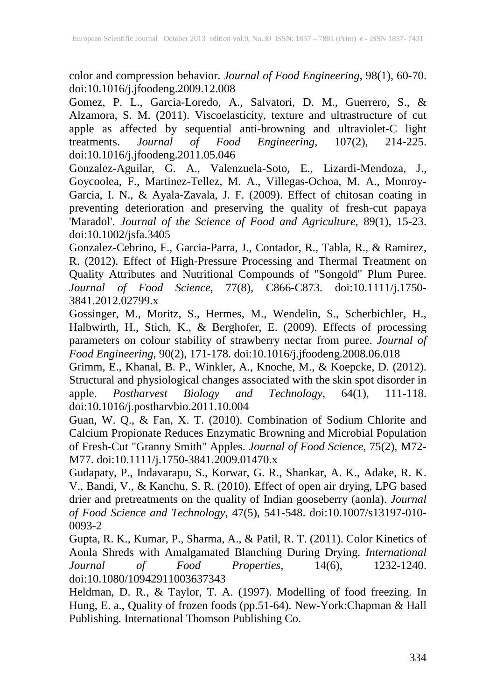color and compression behavior. *Journal of Food Engineering*, 98(1), 60-70. doi:10.1016/j.jfoodeng.2009.12.008

Gomez, P. L., Garcia-Loredo, A., Salvatori, D. M., Guerrero, S., & Alzamora, S. M. (2011). Viscoelasticity, texture and ultrastructure of cut apple as affected by sequential anti-browning and ultraviolet-C light treatments. Journal of Food Engineering, 107(2), 214-225. of Food Engineering, 107(2), 214-225. doi:10.1016/j.jfoodeng.2011.05.046

Gonzalez-Aguilar, G. A., Valenzuela-Soto, E., Lizardi-Mendoza, J., Goycoolea, F., Martinez-Tellez, M. A., Villegas-Ochoa, M. A., Monroy-Garcia, I. N., & Ayala-Zavala, J. F. (2009). Effect of chitosan coating in preventing deterioration and preserving the quality of fresh-cut papaya 'Maradol'. *Journal of the Science of Food and Agriculture*, 89(1), 15-23. doi:10.1002/jsfa.3405

Gonzalez-Cebrino, F., Garcia-Parra, J., Contador, R., Tabla, R., & Ramirez, R. (2012). Effect of High-Pressure Processing and Thermal Treatment on Quality Attributes and Nutritional Compounds of "Songold" Plum Puree. *Journal of Food Science*, 77(8), C866-C873. doi:10.1111/j.1750- 3841.2012.02799.x

Gossinger, M., Moritz, S., Hermes, M., Wendelin, S., Scherbichler, H., Halbwirth, H., Stich, K., & Berghofer, E. (2009). Effects of processing parameters on colour stability of strawberry nectar from puree. *Journal of Food Engineering*, 90(2), 171-178. doi:10.1016/j.jfoodeng.2008.06.018

Grimm, E., Khanal, B. P., Winkler, A., Knoche, M., & Koepcke, D. (2012). Structural and physiological changes associated with the skin spot disorder in apple. Postharvest Biology and Technology, 64(1), 111-118. apple. *Postharvest Biology and Technology*, 64(1), 111-118. doi:10.1016/j.postharvbio.2011.10.004

Guan, W. Q., & Fan, X. T. (2010). Combination of Sodium Chlorite and Calcium Propionate Reduces Enzymatic Browning and Microbial Population of Fresh-Cut "Granny Smith" Apples. *Journal of Food Science*, 75(2), M72- M77. doi:10.1111/j.1750-3841.2009.01470.x

Gudapaty, P., Indavarapu, S., Korwar, G. R., Shankar, A. K., Adake, R. K. V., Bandi, V., & Kanchu, S. R. (2010). Effect of open air drying, LPG based drier and pretreatments on the quality of Indian gooseberry (aonla). *Journal of Food Science and Technology*, 47(5), 541-548. doi:10.1007/s13197-010- 0093-2

Gupta, R. K., Kumar, P., Sharma, A., & Patil, R. T. (2011). Color Kinetics of Aonla Shreds with Amalgamated Blanching During Drying. *International Journal of Food Properties*, 14(6), 1232-1240. doi:10.1080/10942911003637343

Heldman, D. R., & Taylor, T. A. (1997). Modelling of food freezing. In Hung, E. a., Quality of frozen foods (pp.51-64). New-York:Chapman & Hall Publishing. International Thomson Publishing Co.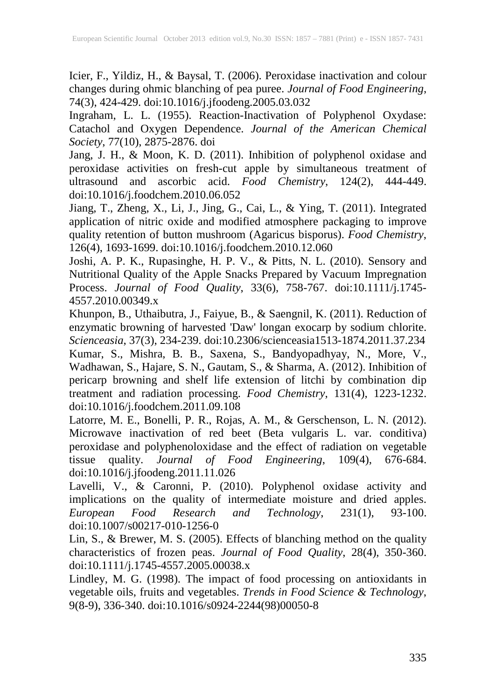Icier, F., Yildiz, H., & Baysal, T. (2006). Peroxidase inactivation and colour changes during ohmic blanching of pea puree. *Journal of Food Engineering*, 74(3), 424-429. doi:10.1016/j.jfoodeng.2005.03.032

Ingraham, L. L. (1955). Reaction-Inactivation of Polyphenol Oxydase: Catachol and Oxygen Dependence. *Journal of the American Chemical Society*, 77(10), 2875-2876. doi

Jang, J. H., & Moon, K. D. (2011). Inhibition of polyphenol oxidase and peroxidase activities on fresh-cut apple by simultaneous treatment of ultrasound and ascorbic acid. *Food Chemistry*, 124(2), 444-449. doi:10.1016/j.foodchem.2010.06.052

Jiang, T., Zheng, X., Li, J., Jing, G., Cai, L., & Ying, T. (2011). Integrated application of nitric oxide and modified atmosphere packaging to improve quality retention of button mushroom (Agaricus bisporus). *Food Chemistry*, 126(4), 1693-1699. doi:10.1016/j.foodchem.2010.12.060

Joshi, A. P. K., Rupasinghe, H. P. V., & Pitts, N. L. (2010). Sensory and Nutritional Quality of the Apple Snacks Prepared by Vacuum Impregnation Process. *Journal of Food Quality*, 33(6), 758-767. doi:10.1111/j.1745- 4557.2010.00349.x

Khunpon, B., Uthaibutra, J., Faiyue, B., & Saengnil, K. (2011). Reduction of enzymatic browning of harvested 'Daw' longan exocarp by sodium chlorite. *Scienceasia*, 37(3), 234-239. doi:10.2306/scienceasia1513-1874.2011.37.234 Kumar, S., Mishra, B. B., Saxena, S., Bandyopadhyay, N., More, V., Wadhawan, S., Hajare, S. N., Gautam, S., & Sharma, A. (2012). Inhibition of pericarp browning and shelf life extension of litchi by combination dip treatment and radiation processing. *Food Chemistry*, 131(4), 1223-1232. doi:10.1016/j.foodchem.2011.09.108

Latorre, M. E., Bonelli, P. R., Rojas, A. M., & Gerschenson, L. N. (2012). Microwave inactivation of red beet (Beta vulgaris L. var. conditiva) peroxidase and polyphenoloxidase and the effect of radiation on vegetable tissue quality. *Journal of Food Engineering*, 109(4), 676-684. doi:10.1016/j.jfoodeng.2011.11.026

Lavelli, V., & Caronni, P. (2010). Polyphenol oxidase activity and implications on the quality of intermediate moisture and dried apples.<br>European Food Research and Technology, 231(1), 93-100. European Food Research and Technology, doi:10.1007/s00217-010-1256-0

Lin, S., & Brewer, M. S. (2005). Effects of blanching method on the quality characteristics of frozen peas. *Journal of Food Quality*, 28(4), 350-360. doi:10.1111/j.1745-4557.2005.00038.x

Lindley, M. G. (1998). The impact of food processing on antioxidants in vegetable oils, fruits and vegetables. *Trends in Food Science & Technology*, 9(8-9), 336-340. doi:10.1016/s0924-2244(98)00050-8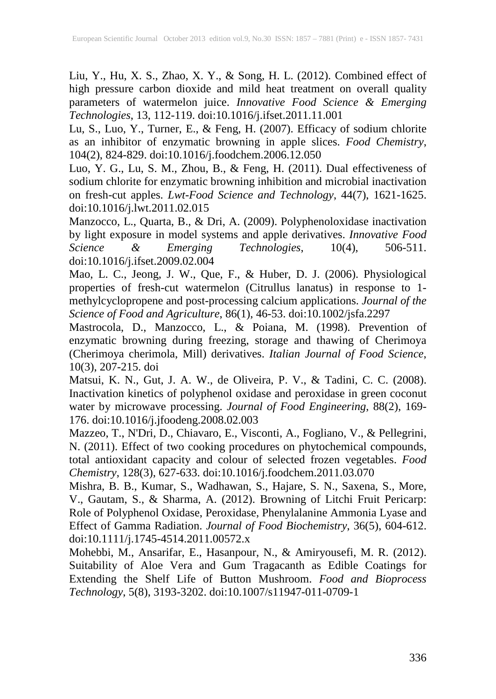Liu, Y., Hu, X. S., Zhao, X. Y., & Song, H. L. (2012). Combined effect of high pressure carbon dioxide and mild heat treatment on overall quality parameters of watermelon juice. *Innovative Food Science & Emerging Technologies*, 13, 112-119. doi:10.1016/j.ifset.2011.11.001

Lu, S., Luo, Y., Turner, E., & Feng, H. (2007). Efficacy of sodium chlorite as an inhibitor of enzymatic browning in apple slices. *Food Chemistry*, 104(2), 824-829. doi:10.1016/j.foodchem.2006.12.050

Luo, Y. G., Lu, S. M., Zhou, B., & Feng, H. (2011). Dual effectiveness of sodium chlorite for enzymatic browning inhibition and microbial inactivation on fresh-cut apples. *Lwt-Food Science and Technology*, 44(7), 1621-1625. doi:10.1016/j.lwt.2011.02.015

Manzocco, L., Quarta, B., & Dri, A. (2009). Polyphenoloxidase inactivation by light exposure in model systems and apple derivatives. *Innovative Food Science & Emerging Technologies*, 10(4), 506-511. doi:10.1016/j.ifset.2009.02.004

Mao, L. C., Jeong, J. W., Que, F., & Huber, D. J. (2006). Physiological properties of fresh-cut watermelon (Citrullus lanatus) in response to 1 methylcyclopropene and post-processing calcium applications. *Journal of the Science of Food and Agriculture*, 86(1), 46-53. doi:10.1002/jsfa.2297

Mastrocola, D., Manzocco, L., & Poiana, M. (1998). Prevention of enzymatic browning during freezing, storage and thawing of Cherimoya (Cherimoya cherimola, Mill) derivatives. *Italian Journal of Food Science*, 10(3), 207-215. doi

Matsui, K. N., Gut, J. A. W., de Oliveira, P. V., & Tadini, C. C. (2008). Inactivation kinetics of polyphenol oxidase and peroxidase in green coconut water by microwave processing. *Journal of Food Engineering*, 88(2), 169- 176. doi:10.1016/j.jfoodeng.2008.02.003

Mazzeo, T., N'Dri, D., Chiavaro, E., Visconti, A., Fogliano, V., & Pellegrini, N. (2011). Effect of two cooking procedures on phytochemical compounds, total antioxidant capacity and colour of selected frozen vegetables. *Food Chemistry*, 128(3), 627-633. doi:10.1016/j.foodchem.2011.03.070

Mishra, B. B., Kumar, S., Wadhawan, S., Hajare, S. N., Saxena, S., More, V., Gautam, S., & Sharma, A. (2012). Browning of Litchi Fruit Pericarp: Role of Polyphenol Oxidase, Peroxidase, Phenylalanine Ammonia Lyase and Effect of Gamma Radiation. *Journal of Food Biochemistry*, 36(5), 604-612. doi:10.1111/j.1745-4514.2011.00572.x

Mohebbi, M., Ansarifar, E., Hasanpour, N., & Amiryousefi, M. R. (2012). Suitability of Aloe Vera and Gum Tragacanth as Edible Coatings for Extending the Shelf Life of Button Mushroom. *Food and Bioprocess Technology*, 5(8), 3193-3202. doi:10.1007/s11947-011-0709-1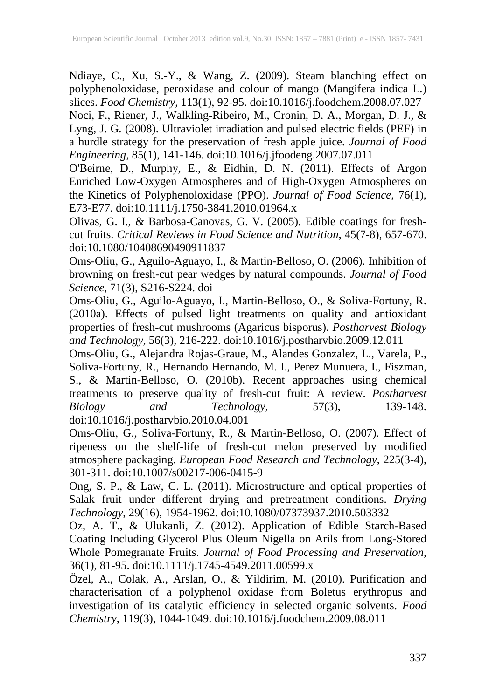Ndiaye, C., Xu, S.-Y., & Wang, Z. (2009). Steam blanching effect on polyphenoloxidase, peroxidase and colour of mango (Mangifera indica L.) slices. *Food Chemistry*, 113(1), 92-95. doi:10.1016/j.foodchem.2008.07.027

Noci, F., Riener, J., Walkling-Ribeiro, M., Cronin, D. A., Morgan, D. J., & Lyng, J. G. (2008). Ultraviolet irradiation and pulsed electric fields (PEF) in a hurdle strategy for the preservation of fresh apple juice. *Journal of Food Engineering*, 85(1), 141-146. doi:10.1016/j.jfoodeng.2007.07.011

O'Beirne, D., Murphy, E., & Eidhin, D. N. (2011). Effects of Argon Enriched Low-Oxygen Atmospheres and of High-Oxygen Atmospheres on the Kinetics of Polyphenoloxidase (PPO). *Journal of Food Science*, 76(1), E73-E77. doi:10.1111/j.1750-3841.2010.01964.x

Olivas, G. I., & Barbosa-Canovas, G. V. (2005). Edible coatings for freshcut fruits. *Critical Reviews in Food Science and Nutrition*, 45(7-8), 657-670. doi:10.1080/10408690490911837

Oms-Oliu, G., Aguilo-Aguayo, I., & Martin-Belloso, O. (2006). Inhibition of browning on fresh-cut pear wedges by natural compounds. *Journal of Food Science*, 71(3), S216-S224. doi

Oms-Oliu, G., Aguilo-Aguayo, I., Martin-Belloso, O., & Soliva-Fortuny, R. (2010a). Effects of pulsed light treatments on quality and antioxidant properties of fresh-cut mushrooms (Agaricus bisporus). *Postharvest Biology and Technology*, 56(3), 216-222. doi:10.1016/j.postharvbio.2009.12.011

Oms-Oliu, G., Alejandra Rojas-Graue, M., Alandes Gonzalez, L., Varela, P., Soliva-Fortuny, R., Hernando Hernando, M. I., Perez Munuera, I., Fiszman, S., & Martin-Belloso, O. (2010b). Recent approaches using chemical treatments to preserve quality of fresh-cut fruit: A review. *Postharvest Biology and Technology*, 57(3), 139-148. doi:10.1016/j.postharvbio.2010.04.001

Oms-Oliu, G., Soliva-Fortuny, R., & Martin-Belloso, O. (2007). Effect of ripeness on the shelf-life of fresh-cut melon preserved by modified atmosphere packaging. *European Food Research and Technology*, 225(3-4), 301-311. doi:10.1007/s00217-006-0415-9

Ong, S. P., & Law, C. L. (2011). Microstructure and optical properties of Salak fruit under different drying and pretreatment conditions. *Drying Technology*, 29(16), 1954-1962. doi:10.1080/07373937.2010.503332

Oz, A. T., & Ulukanli, Z. (2012). Application of Edible Starch-Based Coating Including Glycerol Plus Oleum Nigella on Arils from Long-Stored Whole Pomegranate Fruits. *Journal of Food Processing and Preservation*, 36(1), 81-95. doi:10.1111/j.1745-4549.2011.00599.x

Özel, A., Colak, A., Arslan, O., & Yildirim, M. (2010). Purification and characterisation of a polyphenol oxidase from Boletus erythropus and investigation of its catalytic efficiency in selected organic solvents. *Food Chemistry*, 119(3), 1044-1049. doi:10.1016/j.foodchem.2009.08.011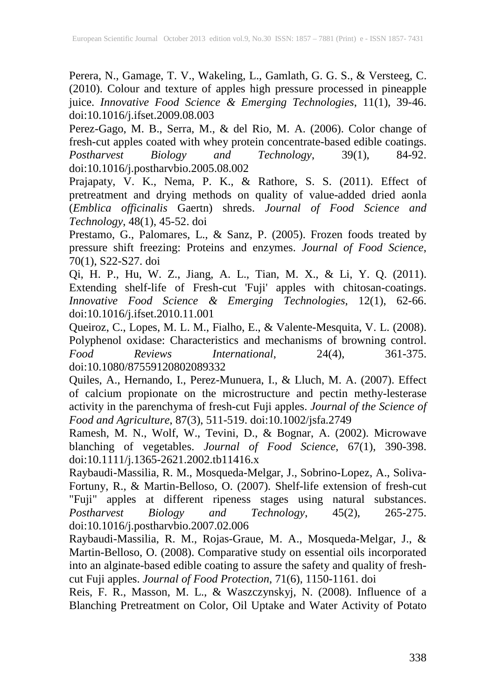Perera, N., Gamage, T. V., Wakeling, L., Gamlath, G. G. S., & Versteeg, C. (2010). Colour and texture of apples high pressure processed in pineapple juice. *Innovative Food Science & Emerging Technologies*, 11(1), 39-46. doi:10.1016/j.ifset.2009.08.003

Perez-Gago, M. B., Serra, M., & del Rio, M. A. (2006). Color change of fresh-cut apples coated with whey protein concentrate-based edible coatings. *Postharvest Biology and Technology*, 39(1), 84-92. doi:10.1016/j.postharvbio.2005.08.002

Prajapaty, V. K., Nema, P. K., & Rathore, S. S. (2011). Effect of pretreatment and drying methods on quality of value-added dried aonla (*Emblica officinalis* Gaertn) shreds. *Journal of Food Science and Technology*, 48(1), 45-52. doi

Prestamo, G., Palomares, L., & Sanz, P. (2005). Frozen foods treated by pressure shift freezing: Proteins and enzymes. *Journal of Food Science*, 70(1), S22-S27. doi

Qi, H. P., Hu, W. Z., Jiang, A. L., Tian, M. X., & Li, Y. Q. (2011). Extending shelf-life of Fresh-cut 'Fuji' apples with chitosan-coatings. *Innovative Food Science & Emerging Technologies*, 12(1), 62-66. doi:10.1016/j.ifset.2010.11.001

Queiroz, C., Lopes, M. L. M., Fialho, E., & Valente-Mesquita, V. L. (2008). Polyphenol oxidase: Characteristics and mechanisms of browning control.<br>Food Reviews International, 24(4), 361-375. *Food Reviews International*, 24(4), 361-375. doi:10.1080/87559120802089332

Quiles, A., Hernando, I., Perez-Munuera, I., & Lluch, M. A. (2007). Effect of calcium propionate on the microstructure and pectin methy-lesterase activity in the parenchyma of fresh-cut Fuji apples. *Journal of the Science of Food and Agriculture*, 87(3), 511-519. doi:10.1002/jsfa.2749

Ramesh, M. N., Wolf, W., Tevini, D., & Bognar, A. (2002). Microwave blanching of vegetables. *Journal of Food Science*, 67(1), 390-398. doi:10.1111/j.1365-2621.2002.tb11416.x

Raybaudi-Massilia, R. M., Mosqueda-Melgar, J., Sobrino-Lopez, A., Soliva-Fortuny, R., & Martin-Belloso, O. (2007). Shelf-life extension of fresh-cut "Fuji" apples at different ripeness stages using natural substances.<br>Postharvest Biology and Technology, 45(2), 265-275. *Postharvest Biology and Technology*, 45(2), 265-275. doi:10.1016/j.postharvbio.2007.02.006

Raybaudi-Massilia, R. M., Rojas-Graue, M. A., Mosqueda-Melgar, J., & Martin-Belloso, O. (2008). Comparative study on essential oils incorporated into an alginate-based edible coating to assure the safety and quality of freshcut Fuji apples. *Journal of Food Protection*, 71(6), 1150-1161. doi

Reis, F. R., Masson, M. L., & Waszczynskyj, N. (2008). Influence of a Blanching Pretreatment on Color, Oil Uptake and Water Activity of Potato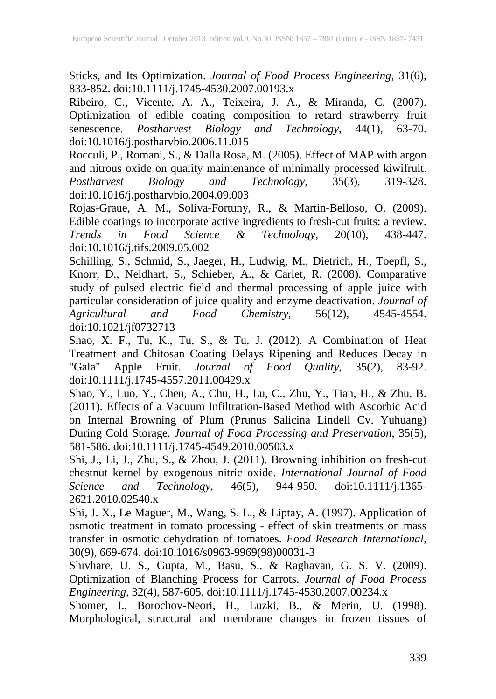Sticks, and Its Optimization. *Journal of Food Process Engineering*, 31(6), 833-852. doi:10.1111/j.1745-4530.2007.00193.x

Ribeiro, C., Vicente, A. A., Teixeira, J. A., & Miranda, C. (2007). Optimization of edible coating composition to retard strawberry fruit senescence. *Postharvest Biology and Technology*, 44(1), 63-70. doi:10.1016/j.postharvbio.2006.11.015

Rocculi, P., Romani, S., & Dalla Rosa, M. (2005). Effect of MAP with argon and nitrous oxide on quality maintenance of minimally processed kiwifruit.<br> *Postharvest* Biology and Technology, 35(3), 319-328. *Postharvest Biology and Technology*, 35(3), 319-328. doi:10.1016/j.postharvbio.2004.09.003

Rojas-Graue, A. M., Soliva-Fortuny, R., & Martin-Belloso, O. (2009). Edible coatings to incorporate active ingredients to fresh-cut fruits: a review. *Trends in Food Science & Technology*, 20(10), 438-447. doi:10.1016/j.tifs.2009.05.002

Schilling, S., Schmid, S., Jaeger, H., Ludwig, M., Dietrich, H., Toepfl, S., Knorr, D., Neidhart, S., Schieber, A., & Carlet, R. (2008). Comparative study of pulsed electric field and thermal processing of apple juice with particular consideration of juice quality and enzyme deactivation. *Journal of Agricultural and Food Chemistry*, 56(12), 4545-4554. doi:10.1021/jf0732713

Shao, X. F., Tu, K., Tu, S., & Tu, J. (2012). A Combination of Heat Treatment and Chitosan Coating Delays Ripening and Reduces Decay in "Gala" Apple Fruit. *Journal of Food Quality*, 35(2), 83-92. doi:10.1111/j.1745-4557.2011.00429.x

Shao, Y., Luo, Y., Chen, A., Chu, H., Lu, C., Zhu, Y., Tian, H., & Zhu, B. (2011). Effects of a Vacuum Infiltration-Based Method with Ascorbic Acid on Internal Browning of Plum (Prunus Salicina Lindell Cv. Yuhuang) During Cold Storage. *Journal of Food Processing and Preservation*, 35(5), 581-586. doi:10.1111/j.1745-4549.2010.00503.x

Shi, J., Li, J., Zhu, S., & Zhou, J. (2011). Browning inhibition on fresh-cut chestnut kernel by exogenous nitric oxide. *International Journal of Food Science and Technology*, 46(5), 944-950. doi:10.1111/j.1365- 2621.2010.02540.x

Shi, J. X., Le Maguer, M., Wang, S. L., & Liptay, A. (1997). Application of osmotic treatment in tomato processing - effect of skin treatments on mass transfer in osmotic dehydration of tomatoes. *Food Research International*, 30(9), 669-674. doi:10.1016/s0963-9969(98)00031-3

Shivhare, U. S., Gupta, M., Basu, S., & Raghavan, G. S. V. (2009). Optimization of Blanching Process for Carrots. *Journal of Food Process Engineering*, 32(4), 587-605. doi:10.1111/j.1745-4530.2007.00234.x

Shomer, I., Borochov-Neori, H., Luzki, B., & Merin, U. (1998). Morphological, structural and membrane changes in frozen tissues of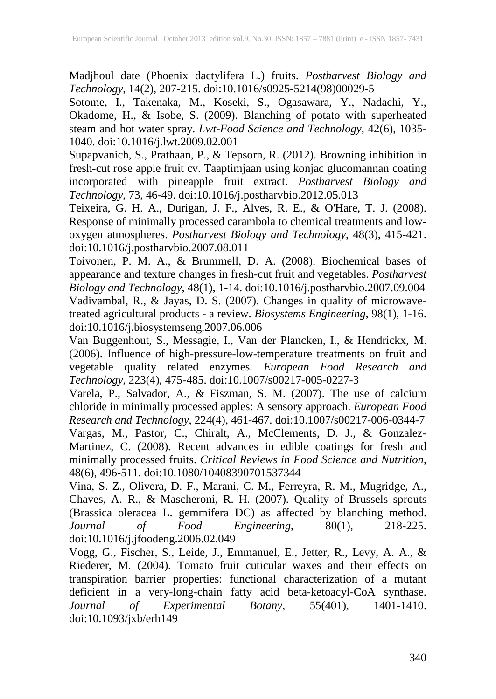Madjhoul date (Phoenix dactylifera L.) fruits. *Postharvest Biology and Technology*, 14(2), 207-215. doi:10.1016/s0925-5214(98)00029-5

Sotome, I., Takenaka, M., Koseki, S., Ogasawara, Y., Nadachi, Y., Okadome, H., & Isobe, S. (2009). Blanching of potato with superheated steam and hot water spray. *Lwt-Food Science and Technology*, 42(6), 1035- 1040. doi:10.1016/j.lwt.2009.02.001

Supapvanich, S., Prathaan, P., & Tepsorn, R. (2012). Browning inhibition in fresh-cut rose apple fruit cv. Taaptimjaan using konjac glucomannan coating incorporated with pineapple fruit extract. *Postharvest Biology and Technology*, 73, 46-49. doi:10.1016/j.postharvbio.2012.05.013

Teixeira, G. H. A., Durigan, J. F., Alves, R. E., & O'Hare, T. J. (2008). Response of minimally processed carambola to chemical treatments and lowoxygen atmospheres. *Postharvest Biology and Technology*, 48(3), 415-421. doi:10.1016/j.postharvbio.2007.08.011

Toivonen, P. M. A., & Brummell, D. A. (2008). Biochemical bases of appearance and texture changes in fresh-cut fruit and vegetables. *Postharvest Biology and Technology*, 48(1), 1-14. doi:10.1016/j.postharvbio.2007.09.004 Vadivambal, R., & Jayas, D. S. (2007). Changes in quality of microwavetreated agricultural products - a review. *Biosystems Engineering*, 98(1), 1-16. doi:10.1016/j.biosystemseng.2007.06.006

Van Buggenhout, S., Messagie, I., Van der Plancken, I., & Hendrickx, M. (2006). Influence of high-pressure-low-temperature treatments on fruit and vegetable quality related enzymes. *European Food Research and Technology*, 223(4), 475-485. doi:10.1007/s00217-005-0227-3

Varela, P., Salvador, A., & Fiszman, S. M. (2007). The use of calcium chloride in minimally processed apples: A sensory approach. *European Food Research and Technology*, 224(4), 461-467. doi:10.1007/s00217-006-0344-7 Vargas, M., Pastor, C., Chiralt, A., McClements, D. J., & Gonzalez-Martinez, C. (2008). Recent advances in edible coatings for fresh and minimally processed fruits. *Critical Reviews in Food Science and Nutrition*, 48(6), 496-511. doi:10.1080/10408390701537344

Vina, S. Z., Olivera, D. F., Marani, C. M., Ferreyra, R. M., Mugridge, A., Chaves, A. R., & Mascheroni, R. H. (2007). Quality of Brussels sprouts (Brassica oleracea L. gemmifera DC) as affected by blanching method. *Journal of Food Engineering*, 80(1), 218-225. doi:10.1016/j.jfoodeng.2006.02.049

Vogg, G., Fischer, S., Leide, J., Emmanuel, E., Jetter, R., Levy, A. A., & Riederer, M. (2004). Tomato fruit cuticular waxes and their effects on transpiration barrier properties: functional characterization of a mutant deficient in a very-long-chain fatty acid beta-ketoacyl-CoA synthase.<br>
Journal of Experimental Botany, 55(401), 1401-1410. *Journal of Experimental Botany*, 55(401), 1401-1410. doi:10.1093/jxb/erh149